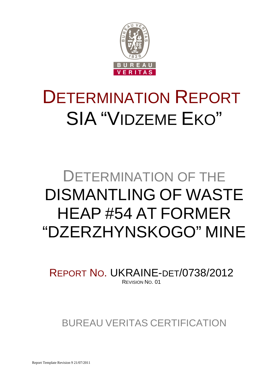

# DETERMINATION REPORT SIA "VIDZEME EKO"

## DETERMINATION OF THE DISMANTLING OF WASTE HEAP #54 AT FORMER "DZERZHYNSKOGO" MINE

REPORT NO. UKRAINE-DET/0738/2012 REVISION NO. 01

BUREAU VERITAS CERTIFICATION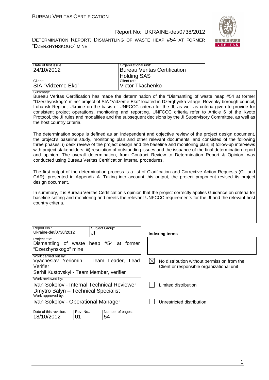DETERMINATION REPORT: DISMANTLING OF WASTE HEAP #54 AT FORMER "DZERZHYNSKOGO" MINE



| Date of first issue: | Organizational unit:                |
|----------------------|-------------------------------------|
| 24/10/2012           | <b>Bureau Veritas Certification</b> |
|                      | <b>Holding SAS</b>                  |
| Client:              | Client ref.:                        |
| SIA "Vidzeme Eko"    | Victor Tkachenko                    |

Summary:

Bureau Veritas Certification has made the determination of the "Dismantling of waste heap #54 at former "Dzerzhynskogo" mine" project of SIA "Vidzeme Eko" located in Dzerghynka village, Rovenky borough council, Luhansk Region, Ukraine on the basis of UNFCCC criteria for the JI, as well as criteria given to provide for consistent project operations, monitoring and reporting. UNFCCC criteria refer to Article 6 of the Kyoto Protocol, the JI rules and modalities and the subsequent decisions by the JI Supervisory Committee, as well as the host country criteria.

The determination scope is defined as an independent and objective review of the project design document, the project's baseline study, monitoring plan and other relevant documents, and consisted of the following three phases: i) desk review of the project design and the baseline and monitoring plan; ii) follow-up interviews with project stakeholders; iii) resolution of outstanding issues and the issuance of the final determination report and opinion. The overall determination, from Contract Review to Determination Report & Opinion, was conducted using Bureau Veritas Certification internal procedures.

The first output of the determination process is a list of Clarification and Corrective Action Requests (CL and CAR), presented in Appendix A. Taking into account this output, the project proponent revised its project design document.

In summary, it is Bureau Veritas Certification's opinion that the project correctly applies Guidance on criteria for baseline setting and monitoring and meets the relevant UNFCCC requirements for the JI and the relevant host country criteria.

| Report No.:<br>Ukraine-det/0738/2012                                                                                     |           | Subiect Group:<br>.JI |                        |  |
|--------------------------------------------------------------------------------------------------------------------------|-----------|-----------------------|------------------------|--|
| Project title:<br>Dismantling of waste heap #54 at former<br>"Dzerzhynskogo" mine                                        |           |                       |                        |  |
| Work carried out by:<br>Vyacheslav Yeriomin - Team Leader, Lead<br>Verifier<br>Serhii Kustovskyi - Team Member, verifier |           |                       |                        |  |
| Work reviewed by:<br>Ivan Sokolov - Internal Technical Reviewer<br>Dmytro Balyn - Technical Specialist                   |           |                       |                        |  |
| Work approved by:<br>Ivan Sokolov - Operational Manager                                                                  |           |                       |                        |  |
| Date of this revision:<br>18/10/2012                                                                                     | Rev. No.: |                       | Number of pages:<br>54 |  |

**Indexing terms**  $\boxtimes$  No distribution without permission from the Client or responsible organizational unit Limited distribution

Unrestricted distribution

1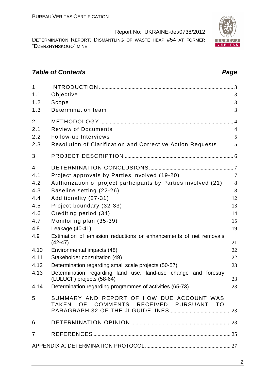DETERMINATION REPORT: DISMANTLING OF WASTE HEAP #54 AT FORMER "DZERZHYNSKOGO" MINE

## **Table of Contents Page 2014**

| $\mathbf{1}$   |                                                                                     |                |
|----------------|-------------------------------------------------------------------------------------|----------------|
| 1.1            | Objective                                                                           | 3              |
| 1.2            | Scope                                                                               | 3              |
| 1.3            | Determination team                                                                  | 3              |
| 2              |                                                                                     | $\overline{4}$ |
| 2.1            | <b>Review of Documents</b>                                                          | $\overline{4}$ |
| 2.2            | Follow-up Interviews                                                                | 5              |
| 2.3            | <b>Resolution of Clarification and Corrective Action Requests</b>                   | 5              |
| 3              |                                                                                     |                |
| $\overline{4}$ |                                                                                     |                |
| 4.1            | Project approvals by Parties involved (19-20)                                       | $\overline{7}$ |
| 4.2            | Authorization of project participants by Parties involved (21)                      | $8\,$          |
| 4.3            | Baseline setting (22-26)                                                            | 8              |
| 4.4            | Additionality (27-31)                                                               | 12             |
| 4.5            | Project boundary (32-33)                                                            | 13             |
| 4.6            | Crediting period (34)                                                               | 14             |
| 4.7            | Monitoring plan (35-39)                                                             | 15             |
| 4.8            | Leakage (40-41)                                                                     | 19             |
| 4.9            | Estimation of emission reductions or enhancements of net removals<br>$(42-47)$      | 21             |
| 4.10           | Environmental impacts (48)                                                          | 22             |
| 4.11           | Stakeholder consultation (49)                                                       | 22             |
| 4.12           | Determination regarding small scale projects (50-57)                                | 23             |
| 4.13           | Determination regarding land use, land-use change and forestry                      |                |
|                | (LULUCF) projects (58-64)                                                           | 23             |
| 4.14           | Determination regarding programmes of activities (65-73)                            | 23             |
| 5              | SUMMARY AND REPORT OF HOW DUE ACCOUNT WAS<br>TAKEN OF COMMENTS RECEIVED PURSUANT TO |                |
| 6              |                                                                                     |                |
| $\overline{7}$ |                                                                                     |                |
|                |                                                                                     |                |

## 2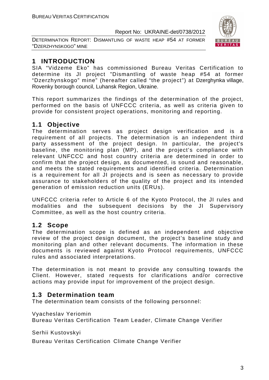DETERMINATION REPORT: DISMANTLING OF WASTE HEAP #54 AT FORMER "DZERZHYNSKOGO" MINE



## **1 INTRODUCTION**

SIA "Vidzeme Eko" has commissioned Bureau Veritas Certification to determine its JI project "Dismantling of waste heap #54 at former "Dzerzhynskogo" mine" (hereafter called "the project") at Dzerghynka village, Rovenky borough council, Luhansk Region, Ukraine.

This report summarizes the findings of the determination of the project, performed on the basis of UNFCCC criteria, as well as criteria given to provide for consistent project operations, monitoring and reporting.

## **1.1 Objective**

The determination serves as project design verification and is a requirement of all projects. The determination is an independent third party assessment of the project design. In particular, the project's baseline, the monitoring plan (MP), and the project's compliance with relevant UNFCCC and host country criteria are determined in order to confirm that the project design, as documented, is sound and reasonable, and meets the stated requirements and identified criteria. Determination is a requirement for all JI projects and is seen as necessary to provide assurance to stakeholders of the quality of the project and its intended generation of emission reduction units (ERUs).

UNFCCC criteria refer to Article 6 of the Kyoto Protocol, the JI rules and modalities and the subsequent decisions by the JI Supervisory Committee, as well as the host country criteria.

## **1.2 Scope**

The determination scope is defined as an independent and objective review of the project design document, the project's baseline study and monitoring plan and other relevant documents. The information in these documents is reviewed against Kyoto Protocol requirements, UNFCCC rules and associated interpretations.

The determination is not meant to provide any consulting towards the Client. However, stated requests for clarifications and/or corrective actions may provide input for improvement of the project design.

## **1.3 Determination team**

The determination team consists of the following personnel:

Vyacheslav Yeriomin

Bureau Veritas Certification Team Leader, Climate Change Verifier

Serhii Kustovskyi

Bureau Veritas Certification Climate Change Verifier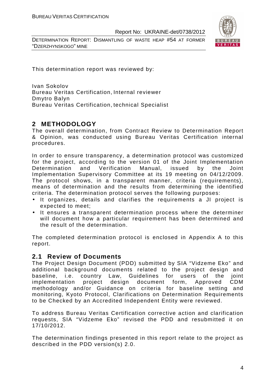DETERMINATION REPORT: DISMANTLING OF WASTE HEAP #54 AT FORMER "DZERZHYNSKOGO" MINE



This determination report was reviewed by:

Ivan Sokolov Bureau Veritas Certification, Internal reviewer Dmytro Balyn Bureau Veritas Certification, technical Specialist

## **2 METHODOLOGY**

The overall determination, from Contract Review to Determination Report & Opinion, was conducted using Bureau Veritas Certification internal procedures.

In order to ensure transparency, a determination protocol was customized for the project, according to the version 01 of the Joint Implementation Determination and Verification Manual, issued by the Joint Implementation Supervisory Committee at its 19 meeting on 04/12/2009. The protocol shows, in a transparent manner, criteria (requirements), means of determination and the results from determining the identified criteria. The determination protocol serves the following purposes:

- It organizes, details and clarifies the requirements a JI project is expected to meet;
- It ensures a transparent determination process where the determiner will document how a particular requirement has been determined and the result of the determination.

The completed determination protocol is enclosed in Appendix A to this report.

## **2.1 Review of Documents**

The Project Design Document (PDD) submitted by SIA "Vidzeme Eko" and additional background documents related to the project design and baseline, i.e. country Law, Guidelines for users of the joint implementation project design document form, Approved CDM methodology and/or Guidance on criteria for baseline setting and monitoring, Kyoto Protocol, Clarifications on Determination Requirements to be Checked by an Accredited Independent Entity were reviewed.

To address Bureau Veritas Certification corrective action and clarification requests, SIA "Vidzeme Eko" revised the PDD and resubmitted it on 17/10/2012.

The determination findings presented in this report relate to the project as described in the PDD version(s) 2.0.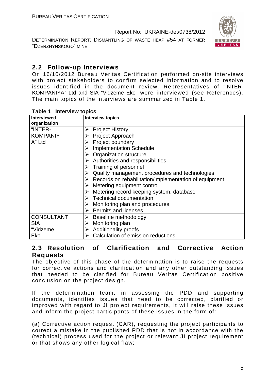DETERMINATION REPORT: DISMANTLING OF WASTE HEAP #54 AT FORMER "DZERZHYNSKOGO" MINE



## **2.2 Follow-up Interviews**

On 16/10/2012 Bureau Veritas Certification performed on-site interviews with project stakeholders to confirm selected information and to resolve issues identified in the document review. Representatives of "INTER-KOMPANIYA" Ltd and SIA "Vidzeme Eko" were interviewed (see References). The main topics of the interviews are summarized in Table 1.

| I ANIG I<br><b>THE VIGW IODING</b> |                                                            |
|------------------------------------|------------------------------------------------------------|
| <b>Interviewed</b>                 | <b>Interview topics</b>                                    |
| organization                       |                                                            |
| "INTER-                            | <b>Project History</b><br>➤                                |
| <b>KOMPANIY</b>                    | Project Approach<br>➤                                      |
| A" Ltd                             | Project boundary<br>➤                                      |
|                                    | <b>Implementation Schedule</b><br>➤                        |
|                                    | $\triangleright$ Organization structure                    |
|                                    | Authorities and responsibilities<br>➤                      |
|                                    | $\triangleright$ Training of personnel                     |
|                                    | Quality management procedures and technologies<br>➤        |
|                                    | Records on rehabilitation/implementation of equipment<br>➤ |
|                                    | Metering equipment control<br>➤                            |
|                                    | Metering record keeping system, database<br>➤              |
|                                    | $\triangleright$ Technical documentation                   |
|                                    | Monitoring plan and procedures<br>➤                        |
|                                    | $\triangleright$ Permits and licenses                      |
| <b>CONSULTANT</b>                  | Baseline methodology<br>➤                                  |
| <b>SIA</b>                         | Monitoring plan<br>➤                                       |
| "Vidzeme                           | Additionality proofs<br>➤                                  |
| Eko"                               | Calculation of emission reductions                         |

#### **Table 1 Interview topics**

## **2.3 Resolution of Clarification and Corrective Action Requests**

The objective of this phase of the determination is to raise the requests for corrective actions and clarification and any other outstanding issues that needed to be clarified for Bureau Veritas Certification positive conclusion on the project design.

If the determination team, in assessing the PDD and supporting documents, identifies issues that need to be corrected, clarified or improved with regard to JI project requirements, it will raise these issues and inform the project participants of these issues in the form of:

(a) Corrective action request (CAR), requesting the project participants to correct a mistake in the published PDD that is not in accordance with the (technical) process used for the project or relevant JI project requirement or that shows any other logical flaw;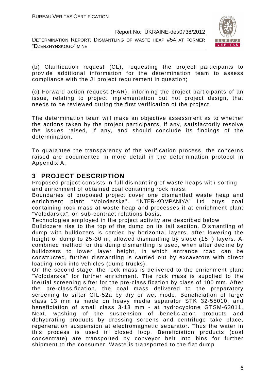DETERMINATION REPORT: DISMANTLING OF WASTE HEAP #54 AT FORMER "DZERZHYNSKOGO" MINE



(b) Clarification request (CL), requesting the project participants to provide additional information for the determination team to assess compliance with the JI project requirement in question;

(c) Forward action request (FAR), informing the project participants of an issue, relating to project implementation but not project design, that needs to be reviewed during the first verification of the project.

The determination team will make an objective assessment as to whether the actions taken by the project participants, if any, satisfactorily resolve the issues raised, if any, and should conclude its findings of the determination.

To guarantee the transparency of the verification process, the concerns raised are documented in more detail in the determination protocol in Appendix A.

## **3 PROJECT DESCRIPTION**

Proposed project consists in full dismantling of waste heaps with sorting and enrichment of obtained coal containing rock mass.

Boundaries of proposed project cover one dismantled waste heap and enrichment plant "Volodarska". "INTER-KOMPANIYA" Ltd buys coal containing rock mass at waste heap and processes it at enrichment plant "Volodarska", on sub-contract relations basis.

Technologies employed in the project activity are described below

Bulldozers rise to the top of the dump on its tail section. Dismantling of dump with bulldozers is carried by horizontal layers, after lowering the height of dump to 25-30 m, allowed dismantling by slope (15 °) layers. A combined method for the dump dismantling is used, when after decline by bulldozers to lower layer height, in which entrance road can be constructed, further dismantling is carried out by excavators with direct loading rock into vehicles (dump trucks).

On the second stage, the rock mass is delivered to the enrichment plant "Volodarska" for further enrichment. The rock mass is supplied to the inertial screening sifter for the pre-classification by class of 100 mm. After the pre-classification, the coal mass delivered to the preparatory screening to sifter GIL-52a by dry or wet mode. Beneficiation of large class 13 mm is made on heavy media separator STK 32-55010, and beneficiation of small class 3-13 mm - at hydrocyclone GTSM-63011. Next, washing of the suspension of beneficiation products and dehydrating products by dressing screens and centrifuge take place, regeneration suspension at electromagnetic separator. Thus the water in this process is used in closed loop. Beneficiation products (coal concentrate) are transported by conveyor belt into bins for further shipment to the consumer. Waste is transported to the flat dump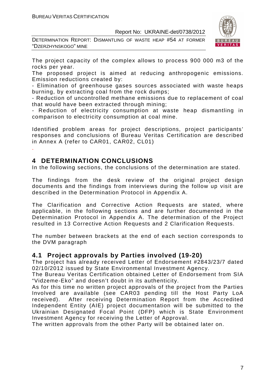DETERMINATION REPORT: DISMANTLING OF WASTE HEAP #54 AT FORMER "DZERZHYNSKOGO" MINE



The project capacity of the complex allows to process 900 000 m3 of the rocks per year.

The proposed project is aimed at reducing anthropogenic emissions. Emission reductions created by:

- Elimination of greenhouse gases sources associated with waste heaps burning, by extracting coal from the rock dumps;

- Reduction of uncontrolled methane emissions due to replacement of coal that would have been extracted through mining;

- Reduction of electricity consumption at waste heap dismantling in comparison to electricity consumption at coal mine.

Identified problem areas for project descriptions, project participants' responses and conclusions of Bureau Veritas Certification are described in Annex A (refer to CAR01, CAR02, CL01)

## **4 DETERMINATION CONCLUSIONS**

.

In the following sections, the conclusions of the determination are stated.

The findings from the desk review of the original project design documents and the findings from interviews during the follow up visit are described in the Determination Protocol in Appendix A.

The Clarification and Corrective Action Requests are stated, where applicable, in the following sections and are further documented in the Determination Protocol in Appendix A. The determination of the Project resulted in 13 Corrective Action Requests and 2 Clarification Requests.

The number between brackets at the end of each section corresponds to the DVM paragraph

## **4.1 Project approvals by Parties involved (19-20)**

The project has already received Letter of Endorsement #2843/23/7 dated 02/10/2012 issued by State Environmental Investment Agency.

The Bureau Veritas Certification obtained Letter of Endorsement from SIA "Vidzeme-Eko" and doesn't doubt in its authenticity.

As for this time no written project approvals of the project from the Parties Involved are available (see CAR03 pending till the Host Party LoA received). After receiving Determination Report from the Accredited Independent Entity (AIE) project documentation will be submitted to the Ukrainian Designated Focal Point (DFP) which is State Environment Investment Agency for receiving the Letter of Approval.

The written approvals from the other Party will be obtained later on.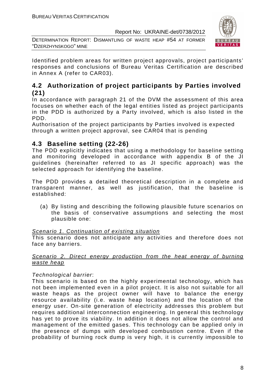DETERMINATION REPORT: DISMANTLING OF WASTE HEAP #54 AT FORMER "DZERZHYNSKOGO" MINE



Identified problem areas for written project approvals, project participants' responses and conclusions of Bureau Veritas Certification are described in Annex A (refer to CAR03).

## **4.2 Authorization of project participants by Parties involved (21)**

In accordance with paragraph 21 of the DVM the assessment of this area focuses on whether each of the legal entities listed as project participants in the PDD is authorized by a Party involved, which is also listed in the PDD.

Authorisation of the project participants by Parties involved is expected through a written project approval, see CAR04 that is pending

## **4.3 Baseline setting (22-26)**

The PDD explicitly indicates that using a methodology for baseline setting and monitoring developed in accordance with appendix B of the JI guidelines (hereinafter referred to as JI specific approach) was the selected approach for identifying the baseline.

The PDD provides a detailed theoretical description in a complete and transparent manner, as well as justification, that the baseline is established:

(a) By listing and describing the following plausible future scenarios on the basis of conservative assumptions and selecting the most plausible one:

#### Scenario 1. Continuation of existing situation

This scenario does not anticipate any activities and therefore does not face any barriers.

#### Scenario 2. Direct energy production from the heat energy of burning waste heap

## Technological barrier:

This scenario is based on the highly experimental technology, which has not been implemented even in a pilot project. It is also not suitable for all waste heaps as the project owner will have to balance the energy resource availability (i.e. waste heap location) and the location of the energy user. On-site generation of electricity addresses this problem but requires additional interconnection engineering. In general this technology has yet to prove its viability. In addition it does not allow the control and management of the emitted gases. This technology can be applied only in the presence of dumps with developed combustion centre. Even if the probability of burning rock dump is very high, it is currently impossible to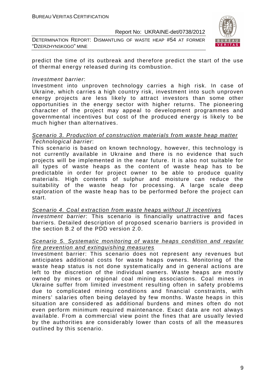DETERMINATION REPORT: DISMANTLING OF WASTE HEAP #54 AT FORMER "DZERZHYNSKOGO" MINE



predict the time of its outbreak and therefore predict the start of the use of thermal energy released during its combustion.

#### Investment barrier:

Investment into unproven technology carries a high risk. In case of Ukraine, which carries a high country risk, investment into such unproven energy projects are less likely to attract investors than some other opportunities in the energy sector with higher returns. The pioneering character of the project may appeal to development programmes and governmental incentives but cost of the produced energy is likely to be much higher than alternatives.

#### Scenario 3. Production of construction materials from waste heap matter Technological barrier:

This scenario is based on known technology, however, this technology is not currently available in Ukraine and there is no evidence that such projects will be implemented in the near future. It is also not suitable for all types of waste heaps as the content of waste heap has to be predictable in order for project owner to be able to produce quality materials. High contents of sulphur and moisture can reduce the suitability of the waste heap for processing. A large scale deep exploration of the waste heap has to be performed before the project can start.

Scenario 4. Coal extraction from waste heaps without JI incentives Investment barrier: This scenario is financially unattractive and faces barriers. Detailed description of proposed scenario barriers is provided in the section B.2 of the PDD version 2.0.

#### Scenario 5. Systematic monitoring of waste heaps condition and regular fire prevention and extinguishing measures

Investment barrier: This scenario does not represent any revenues but anticipates additional costs for waste heaps owners. Monitoring of the waste heap status is not done systematically and in general actions are left to the discretion of the individual owners. Waste heaps are mostly owned by mines or regional coal mining associations. Coal mines in Ukraine suffer from limited investment resulting often in safety problems due to complicated mining conditions and financial constraints, with miners' salaries often being delayed by few months. Waste heaps in this situation are considered as additional burdens and mines often do not even perform minimum required maintenance. Exact data are not always available. From a commercial view point the fines that are usually levied by the authorities are considerably lower than costs of all the measures outlined by this scenario.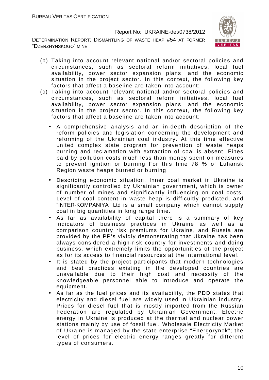DETERMINATION REPORT: DISMANTLING OF WASTE HEAP #54 AT FORMER "DZERZHYNSKOGO" MINE



- (b) Taking into account relevant national and/or sectoral policies and circumstances, such as sectoral reform initiatives, local fuel availability, power sector expansion plans, and the economic situation in the project sector. In this context, the following key factors that affect a baseline are taken into account:
- (c) Taking into account relevant national and/or sectoral policies and circumstances, such as sectoral reform initiatives, local fuel availability, power sector expansion plans, and the economic situation in the project sector. In this context, the following key factors that affect a baseline are taken into account:
	- A comprehensive analysis and an in-depth description of the reform policies and legislation concerning the development and reforming of the Ukrainian coal industry. At this time effective united complex state program for prevention of waste heaps burning and reclamation with extraction of coal is absent. Fines paid by pollution costs much less than money spent on measures to prevent ignition or burning For this time 78 % of Luhansk Region waste heaps burned or burning.
	- Describing economic situation. Inner coal market in Ukraine is significantly controlled by Ukrainian government, which is owner of number of mines and significantly influencing on coal costs. Level of coal content in waste heap is difficultly predicted, and "INTER-KOMPANIYA" Ltd is a small company which cannot supply coal in big quantities in long range time.
	- As far as availability of capital there is a summary of key indicators of business practices in Ukraine as well as a comparison country risk premiums for Ukraine, and Russia are provided by the PP's vividly demonstrating that Ukraine has been always considered a high-risk country for investments and doing business, which extremely limits the opportunities of the project as for its access to financial resources at the international level.
	- It is stated by the project participants that modern technologies and best practices existing in the developed countries are unavailable due to their high cost and necessity of the knowledgeable personnel able to introduce and operate the equipment.
	- As far as the fuel prices and its availability, the PDD states that electricity and diesel fuel are widely used in Ukrainian industry. Prices for diesel fuel that is mostly imported from the Russian Federation are regulated by Ukrainian Government. Electric energy in Ukraine is produced at the thermal and nuclear power stations mainly by use of fossil fuel. Wholesale Electricity Market of Ukraine is managed by the state enterprise "Energorynok"; the level of prices for electric energy ranges greatly for different types of consumers.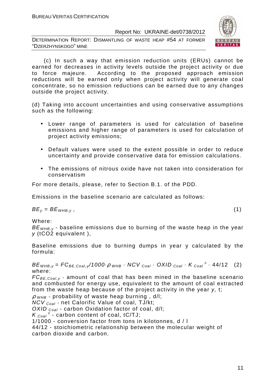DETERMINATION REPORT: DISMANTLING OF WASTE HEAP #54 AT FORMER "DZERZHYNSKOGO" MINE



 (c) In such a way that emission reduction units (ERUs) cannot be earned for decreases in activity levels outside the project activity or due to force majeure. According to the proposed approach emission reductions will be earned only when project activity will generate coal concentrate, so no emission reductions can be earned due to any changes outside the project activity.

(d) Taking into account uncertainties and using conservative assumptions such as the following:

- Lower range of parameters is used for calculation of baseline emissions and higher range of parameters is used for calculation of project activity emissions;
- Default values were used to the extent possible in order to reduce uncertainty and provide conservative data for emission calculations.
- The emissions of nitrous oxide have not taken into consideration for conservatism

For more details, please, refer to Section B.1. of the PDD.

Emissions in the baseline scenario are calculated as follows:

 $BE_v = BE_{WHB,v}$ , (1)

Where:

 $BE<sub>WHB,V</sub>$  - baseline emissions due to burning of the waste heap in the year y (tCO2 equivalent ),

Baseline emissions due to burning dumps in year y calculated by the formula:

 $BE_{WHB,y} = FC_{BE,Coal,y}/1000 \cdot \rho_{WHB} \cdot NCV_{Coal} \cdot OXID_{Coal} \cdot K_{Coal}^c \cdot 44/12$  (2) where:

 $FC_{BE, coal,v}$  - amount of coal that has been mined in the baseline scenario and combusted for energy use, equivalent to the amount of coal extracted from the waste heap because of the project activity in the year y, t;

 $\rho$  <sub>WHB</sub> - probability of waste heap burning, d/l;

 $NCV_{Coal}$  - net Calorific Value of coal, TJ/kt;

OXID  $_{Coal}$  - carbon Oxidation factor of coal, d/l;

 $K_{\text{Coal}}^c$  - carbon content of coal, tC/TJ;

1/1000 - conversion factor from tons in kilotonnes, d / l

44/12 - stoichiometric relationship between the molecular weight of carbon dioxide and carbon.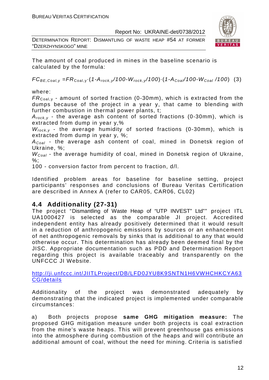DETERMINATION REPORT: DISMANTLING OF WASTE HEAP #54 AT FORMER "DZERZHYNSKOGO" MINE



The amount of coal produced in mines in the baseline scenario is calculated by the formula:

 $FC_{BE,Coal,v} = FR_{Coal,v} (1-A_{rock,v}/100-W_{rock,v}/100) (1-A_{Coal}/100-W_{Coal}/100)$  (3)

where:

 $FR_{\text{Coal,v}}$  - amount of sorted fraction (0-30mm), which is extracted from the dumps because of the project in a year y, that came to blending with further combustion in thermal power plants, t;

 $A_{rock, v}$  - the average ash content of sorted fractions (0-30mm), which is extracted from dump in year y,%

 $W_{rock, v}$  - the average humidity of sorted fractions (0-30mm), which is extracted from dump in year y, %;

 $A_{Coal}$  - the average ash content of coal, mined in Donetsk region of Ukraine, %;

 $W_{Coal}$  - the average humidity of coal, mined in Donetsk region of Ukraine,  $%$ :

100 - conversion factor from percent to fraction, d/l.

Identified problem areas for baseline for baseline setting, project participants' responses and conclusions of Bureau Veritas Certification are described in Annex A (refer to CAR05, CAR06, CL02)

## **4.4 Additionality (27-31)**

The project "Dismantling of Waste Heap of "UTP INVEST" Ltd"" project ITL UA1000427 is selected as the comparable JI project. Accredited independent entity has already positively determined that it would result in a reduction of anthropogenic emissions by sources or an enhancement of net anthropogenic removals by sinks that is additional to any that would otherwise occur. This determination has already been deemed final by the JISC. Appropriate documentation such as PDD and Determination Report regarding this project is available traceably and transparently on the UNFCCC JI Website.

http://ji.unfccc.int/JIITLProject/DB/LFD0JYU8K9SNTN1H6VWHCHKCYA63 CG/details

Additionality of the project was demonstrated adequately by demonstrating that the indicated project is implemented under comparable circumstances:

a) Both projects propose **same GHG mitigation measure:** The proposed GHG mitigation measure under both projects is coal extraction from the mine's waste heaps. This will prevent greenhouse gas emissions into the atmosphere during combustion of the heaps and will contribute an additional amount of coal, without the need for mining. Criteria is satisfied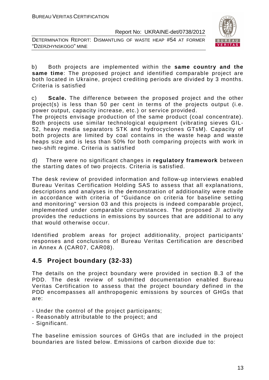DETERMINATION REPORT: DISMANTLING OF WASTE HEAP #54 AT FORMER "DZERZHYNSKOGO" MINE



b) Both projects are implemented within the **same country and the same time**: The proposed project and identified comparable project are both located in Ukraine, project crediting periods are divided by 3 months. Criteria is satisfied

c) **Scale.** The difference between the proposed project and the other project(s) is less than 50 per cent in terms of the projects output (i.e. power output, capacity increase, etc.) or service provided.

The projects envisage production of the same product (coal concentrate). Both projects use similar technological equipment (vibrating sieves GIL-52, heavy media separators STK and hydrocyclones GTsM). Capacity of both projects are limited by coal contains in the waste heap and waste heaps size and is less than 50% for both comparing projects with work in two-shift regime. Criteria is satisfied

d) There were no significant changes in **regulatory framework** between the starting dates of two projects. Criteria is satisfied.

The desk review of provided information and follow-up interviews enabled Bureau Veritas Certification Holding SAS to assess that all explanations, descriptions and analyses in the demonstration of additionality were made in accordance with criteria of "Guidance on criteria for baseline setting and monitoring" version 03 and this projects is indeed comparable project, implemented under comparable circumstances. The proposed JI activity provides the reductions in emissions by sources that are additional to any that would otherwise occur.

Identified problem areas for project additionality, project participants' responses and conclusions of Bureau Veritas Certification are described in Annex A (CAR07, CAR08).

## **4.5 Project boundary (32-33)**

The details on the project boundary were provided in section B.3 of the PDD. The desk review of submitted documentation enabled Bureau Veritas Certification to assess that the project boundary defined in the PDD encompasses all anthropogenic emissions by sources of GHGs that are:

- Under the control of the project participants;
- Reasonably attributable to the project; and
- Significant.

The baseline emission sources of GHGs that are included in the project boundaries are listed below. Emissions of carbon dioxide due to: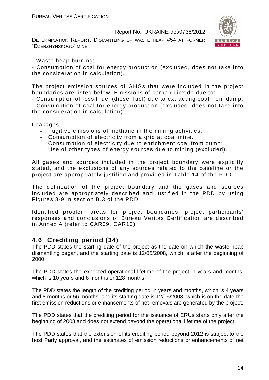DETERMINATION REPORT: DISMANTLING OF WASTE HEAP #54 AT FORMER "DZERZHYNSKOGO" MINE



#### - Waste heap burning;

- Consumption of coal for energy production (excluded, does not take into the consideration in calculation).

The project emission sources of GHGs that were included in the project boundaries are listed below. Emissions of carbon dioxide due to:

- Consumption of fossil fuel (diesel fuel) due to extracting coal from dump; - Consumption of coal for energy production (excluded, does not take into the consideration in calculation).

Leakages:

- Fugitive emissions of methane in the mining activities;
- Consumption of electricity from a grid at coal mine.
- Consumption of electricity due to enrichment coal from dump;
- Use of other types of energy sources due to mining (excluded).

All gases and sources included in the project boundary were explicitly stated, and the exclusions of any sources related to the baseline or the project are appropriately justified and provided in Table 14 of the PDD.

The delineation of the project boundary and the gases and sources included are appropriately described and justified in the PDD by using Figures 8-9 in section B.3 of the PDD.

Identified problem areas for project boundaries, project participants' responses and conclusions of Bureau Veritas Certification are described in Annex A (refer to CAR09, CAR10)

## **4.6 Crediting period (34)**

The PDD states the starting date of the project as the date on which the waste heap dismantling began, and the starting date is 12/05/2008, which is after the beginning of 2000.

The PDD states the expected operational lifetime of the project in years and months, which is 10 years and 8 months or 128 months.

The PDD states the length of the crediting period in years and months, which is 4 years and 8 months or 56 months, and its starting date is 12/05/2008, which is on the date the first emission reductions or enhancements of net removals are generated by the project.

The PDD states that the crediting period for the issuance of ERUs starts only after the beginning of 2008 and does not extend beyond the operational lifetime of the project.

The PDD states that the extension of its crediting period beyond 2012 is subject to the host Party approval, and the estimates of emission reductions or enhancements of net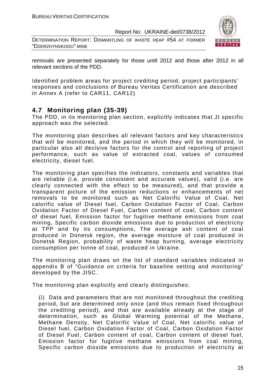DETERMINATION REPORT: DISMANTLING OF WASTE HEAP #54 AT FORMER "DZERZHYNSKOGO" MINE



removals are presented separately for those until 2012 and those after 2012 in all relevant sections of the PDD.

Identified problem areas for project crediting period, project participants' responses and conclusions of Bureau Veritas Certification are described in Annex A (refer to CAR11, CAR12)

## **4.7 Monitoring plan (35-39)**

The PDD, in its monitoring plan section, explicitly indicates that JI specific approach was the selected.

The monitoring plan describes all relevant factors and key characteristics that will be monitored, and the period in which they will be monitored, in particular also all decisive factors for the control and reporting of project performance, such as value of extracted coal, values of consumed electricity, diesel fuel.

The monitoring plan specifies the indicators, constants and variables that are reliable (i.e. provide consistent and accurate values), valid (i.e. are clearly connected with the effect to be measured), and that provide a transparent picture of the emission reductions or enhancements of net removals to be monitored such as Net Calorific Value of Coal, Net calorific value of Diesel fuel, Carbon Oxidation Factor of Coal, Carbon Oxidation Factor of Diesel Fuel, Carbon content of coal, Carbon content of diesel fuel, Emission factor for fugitive methane emissions from coal mining, Specific carbon dioxide emissions due to production of electricity at TPP and by its consumptions, The average ash content of coal produced in Donetsk region, the average moisture of coal produced in Donetsk Region, probability of waste heap burning, average electricity consumption per tonne of coal, produced in Ukraine.

The monitoring plan draws on the list of standard variables indicated in appendix B of "Guidance on criteria for baseline setting and monitoring" developed by the JISC.

The monitoring plan explicitly and clearly distinguishes:

(i) Data and parameters that are not monitored throughout the crediting period, but are determined only once (and thus remain fixed throughout the crediting period), and that are available already at the stage of determination, such as Global Warming potential of the Methane, Methane Density, Net Calorific Value of Coal, Net calorific value of Diesel fuel, Carbon Oxidation Factor of Coal, Carbon Oxidation Factor of Diesel Fuel, Carbon content of coal, Carbon content of diesel fuel, Emission factor for fugitive methane emissions from coal mining, Specific carbon dioxide emissions due to production of electricity at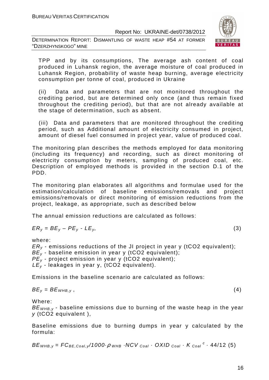DETERMINATION REPORT: DISMANTLING OF WASTE HEAP #54 AT FORMER "DZERZHYNSKOGO" MINE



TPP and by its consumptions, The average ash content of coal produced in Luhansk region, the average moisture of coal produced in Luhansk Region, probability of waste heap burning, average electricity consumption per tonne of coal, produced in Ukraine

(ii) Data and parameters that are not monitored throughout the crediting period, but are determined only once (and thus remain fixed throughout the crediting period), but that are not already available at the stage of determination, such as absent.

(iii) Data and parameters that are monitored throughout the crediting period, such as Additional amount of electricity consumed in project, amount of diesel fuel consumed in project year, value of produced coal.

The monitoring plan describes the methods employed for data monitoring (including its frequency) and recording, such as direct monitoring of electricity consumption by meters, sampling of produced coal, etc. Description of employed methods is provided in the section D.1 of the PDD.

The monitoring plan elaborates all algorithms and formulae used for the estimation/calculation of baseline emissions/removals and project emissions/removals or direct monitoring of emission reductions from the project, leakage, as appropriate, such as described below

The annual emission reductions are calculated as follows:

$$
ER_y = BE_y - PE_y - LE_y,\tag{3}
$$

where:

 $ER<sub>v</sub>$  - emissions reductions of the JI project in year y (tCO2 equivalent);  $BE<sub>v</sub>$  - baseline emission in year y (tCO2 equivalent);  $PE<sub>v</sub>$  - project emission in year y (tCO2 equivalent);  $LE_v$  - leakages in year y, (tCO2 equivalent).

Emissions in the baseline scenario are calculated as follows:

$$
BE_y = BE_{WHB,y}, \t\t(4)
$$

Where:

 $BE<sub>WHB,V</sub>$  - baseline emissions due to burning of the waste heap in the year  $v$  (tCO2 equivalent),

Baseline emissions due to burning dumps in year y calculated by the formula:

 $BE_{\text{WHB},y} = FC_{BE,Coal,y}$ /1000 $\cdot \rho$  whb  $\cdot$  NCV  $_{Coal}$   $\cdot$  OXID  $_{Coal}$   $\cdot$  K  $_{Coal}$   $^c$   $\cdot$  44/12 (5)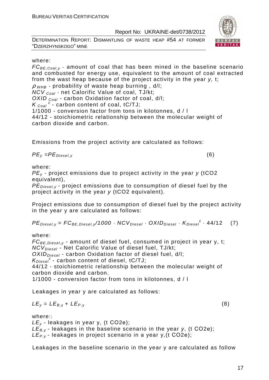DETERMINATION REPORT: DISMANTLING OF WASTE HEAP #54 AT FORMER "DZERZHYNSKOGO" MINE



 $FC_{BE,Coal,v}$  - amount of coal that has been mined in the baseline scenario and combusted for energy use, equivalent to the amount of coal extracted from the wast heap because of the project activity in the year y, t;

 $\rho$  w<sub>HB</sub> - probability of waste heap burning, d/l;

 $NCV_{Coal}$  - net Calorific Value of coal, TJ/kt;

OXID  $_{Coal}$  - carbon Oxidation factor of coal, d/l;

 $K_{\text{Coal}}^c$  - carbon content of coal, tC/TJ;

1/1000 - conversion factor from tons in kilotonnes, d / l

44/12 - stoichiometric relationship between the molecular weight of carbon dioxide and carbon.

Emissions from the project activity are calculated as follows:

$$
PE_y = PE_{Diesel,y} \tag{6}
$$

where:

 $PE<sub>v</sub>$  - project emissions due to project activity in the year y (tCO2 equivalent),

 $PE_{\text{Diegley}}$  - project emissions due to consumption of diesel fuel by the project activity in the year y (tCO2 equivalent).

Project emissions due to consumption of diesel fuel by the project activity in the year y are calculated as follows:

 $PE_{\text{Diesel}, y} = FC_{\text{BE},\text{Diesel}, y} / 1000 \cdot NCV_{\text{Diesel}} \cdot OXID_{\text{Diesel}} \cdot K_{\text{Diesel}}^c \cdot 44/12$  (7)

where:

 $FC_{BE, Diesel, y}$  - amount of diesel fuel, consumed in project in year y, t; NCV<sub>Diesel</sub> - Net Calorific Value of diesel fuel, TJ/kt; OXID<sub>Diesel</sub> - carbon Oxidation factor of diesel fuel, d/l:  $K_{Diesel}^c$  - carbon content of diesel, tC/TJ; 44/12 - stoichiometric relationship between the molecular weight of carbon dioxide and carbon.

1/1000 - conversion factor from tons in kilotonnes, d / l

Leakages in year y are calculated as follows:

$$
LE_y = LE_{B,y} + LE_{P,y}
$$
 (8)

where::

 $LE<sub>v</sub>$  - leakages in year y, (t CO2e);  $LE_{B,y}$  - leakages in the baseline scenario in the year y, (t CO2e);  $LE_{P,V}$  - leakages in project scenario in a year y, (t CO2e);

Leakages in the baseline scenario in the year y are calculated as follow

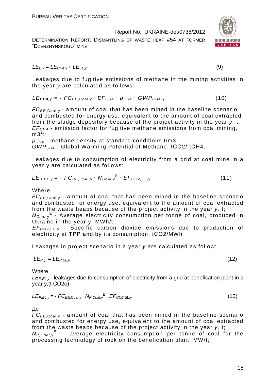DETERMINATION REPORT: DISMANTLING OF WASTE HEAP #54 AT FORMER "DZERZHYNSKOGO" MINE



$$
LE_{B,y} = LE_{CH4,y} + LE_{EL,y}
$$
 (9)

Leakages due to fugitive emissions of methane in the mining activities in the year y are calculated as follows:

 $LE_{\text{CH4,V}} = - F C_{BE,Coal,V} \cdot EF_{CH4} \cdot \rho_{CH4} \cdot GWP_{CH4}$ , (10)

 $FC_{BE, coal,v}$  - amount of coal that has been mined in the baseline scenario and combusted for energy use, equivalent to the amount of coal extracted from the sludge depository because of the project activity in the year y, t;  $EF<sub>CH4</sub>$  - emission factor for fugitive methane emissions from coal mining, m3/t;

 $ρ<sub>CH4</sub>$  - methane density at standard conditions t/m3; GWPCH4 - Global Warming Potential of Methane, tСО2/ tСН4.

Leakages due to consumption of electricity from a grid at coal mine in a year y are calculated as follows:

$$
LE_{B,EL,y} = -FC_{BE,Coal,y} \cdot N_{Coal,y}^{E} \cdot EF_{CO2,EL,y}
$$
 (11)

#### Where

 $FC_{BE, coal,v}$  - amount of coal that has been mined in the baseline scenario and combusted for energy use, equivalent to the amount of coal extracted from the waste heaps because of the project activity in the year y, t;

N<sub>Coal,y</sub><sup>E</sup> - Average electricity consumption per tonne of coal, produced in Ukraine in the year y, MWh/t;

EF<sup>C</sup>*О*2,EL, <sup>у</sup> - Specific carbon dioxide emissions due to production of electricity at TPP and by its consumption, tСО2/MWh

Leakages in project scenario in a year y are calculated as follow:

$$
LE_{P,y} = LE_{P,EL,y} \tag{12}
$$

**Where** 

 $LE_{P,EL, y}$  leakages due to consumption of electricity from a grid at benefication plant in a year y,(t СО2е)

$$
LE_{P,EL,y} = -FC_{BE,Coal,y} \cdot N_{P,Coal,y}^{E} \cdot EF_{CO2,EL,y}
$$
 (13)

## Де

 $FC_{BE,Coal,v}$  - amount of coal that has been mined in the baseline scenario and combusted for energy use, equivalent to the amount of coal extracted from the waste heaps because of the project activity in the year y, t;  $N_{P,Coal,y}$ <sup>E</sup> - average electricity consumption per tonne of coal for the

processing technology of rock on the benefication plant, MW/t;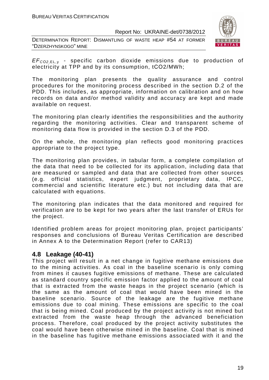DETERMINATION REPORT: DISMANTLING OF WASTE HEAP #54 AT FORMER "DZERZHYNSKOGO" MINE



EF<sup>C</sup>*О*2,EL, <sup>у</sup> - specific carbon dioxide emissions due to production of electricity at TPP and by its consumption, tСО2/MWh;

The monitoring plan presents the quality assurance and control procedures for the monitoring process described in the section D.2 of the PDD. This includes, as appropriate, information on calibration and on how records on data and/or method validity and accuracy are kept and made available on request.

The monitoring plan clearly identifies the responsibilities and the authority regarding the monitoring activities. Clear and transparent scheme of monitoring data flow is provided in the section D.3 of the PDD.

On the whole, the monitoring plan reflects good monitoring practices appropriate to the project type.

The monitoring plan provides, in tabular form, a complete compilation of the data that need to be collected for its application, including data that are measured or sampled and data that are collected from other sources (e.g. official statistics, expert judgment, proprietary data, IPCC, commercial and scientific literature etc.) but not including data that are calculated with equations.

The monitoring plan indicates that the data monitored and required for verification are to be kept for two years after the last transfer of ERUs for the project.

Identified problem areas for project monitoring plan, project participants' responses and conclusions of Bureau Veritas Certification are described in Annex A to the Determination Report (refer to CAR13)

## **4.8 Leakage (40-41)**

This project will result in a net change in fugitive methane emissions due to the mining activities. As coal in the baseline scenario is only coming from mines it causes fugitive emissions of methane. These are calculated as standard country specific emission factor applied to the amount of coal that is extracted from the waste heaps in the project scenario (which is the same as the amount of coal that would have been mined in the baseline scenario. Source of the leakage are the fugitive methane emissions due to coal mining. These emissions are specific to the coal that is being mined. Coal produced by the project activity is not mined but extracted from the waste heap through the advanced beneficiation process. Therefore, coal produced by the project activity substitutes the coal would have been otherwise mined in the baseline. Coal that is mined in the baseline has fugitive methane emissions associated with it and the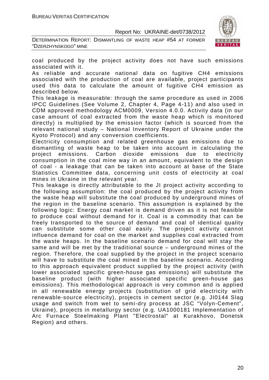DETERMINATION REPORT: DISMANTLING OF WASTE HEAP #54 AT FORMER "DZERZHYNSKOGO" MINE



coal produced by the project activity does not have such emissions associated with it.

As reliable and accurate national data on fugitive CH4 emissions associated with the production of coal are available, project participants used this data to calculate the amount of fugitive CH4 emission as described below.

This leakage is measurable: through the same procedure as used in 2006 IPCC Guidelines (See Volume 2, Chapter 4, Page 4-11) and also used in CDM approved methodology ACM0009, Version 4.0.0. Activity data (in our case amount of coal extracted from the waste heap which is monitored directly) is multiplied by the emission factor (which is sourced from the relevant national study – National Inventory Report of Ukraine under the Kyoto Protocol) and any conversion coefficients.

Electricity consumption and related greenhouse gas emissions due to dismantling of waste heap to be taken into account in calculating the project emissions. Carbon dioxide emissions due to electricity consumption in the coal mine way in an amount, equivalent to the design of coal - a leakage that can be taken into account at base of the State Statistics Committee data, concerning unit costs of electricity at coal mines in Ukraine in the relevant year.

This leakage is directly attributable to the JI project activity according to the following assumption: the coal produced by the project activity from the waste heap will substitute the coal produced by underground mines of the region in the baseline scenario. This assumption is explained by the following logic: Energy coal market is demand driven as it is not feasible to produce coal without demand for it. Coal is a commodity that can be freely transported to the source of demand and coal of identical quality can substitute some other coal easily. The project activity cannot influence demand for coal on the market and supplies coal extracted from the waste heaps. In the baseline scenario demand for coal will stay the same and will be met by the traditional source – underground mines of the region. Therefore, the coal supplied by the project in the project scenario will have to substitute the coal mined in the baseline scenario. According to this approach equivalent product supplied by the project activity (with lower associated specific green-house gas emissions) will substitute the baseline product (with higher associated specific green-house gas emissions). This methodological approach is very common and is applied in all renewable energy projects (substitution of grid electricity with renewable-source electricity), projects in cement sector (e.g. JI0144 Slag usage and switch from wet to semi-dry process at JSC "Volyn-Cement", Ukraine), projects in metallurgy sector (e.g. UA1000181 Implementation of Arc Furnace Steelmaking Plant "Electrostal" at Kurakhovo, Donetsk Region) and others.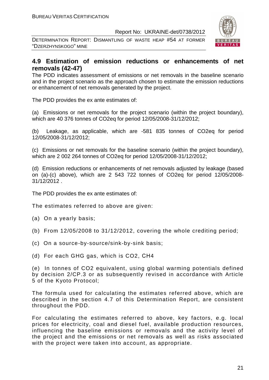DETERMINATION REPORT: DISMANTLING OF WASTE HEAP #54 AT FORMER "DZERZHYNSKOGO" MINE



## **4.9 Estimation of emission reductions or enhancements of net removals (42-47)**

The PDD indicates assessment of emissions or net removals in the baseline scenario and in the project scenario as the approach chosen to estimate the emission reductions or enhancement of net removals generated by the project.

The PDD provides the ex ante estimates of:

(a) Emissions or net removals for the project scenario (within the project boundary), which are 40 376 tonnes of CO2eq for period 12/05/2008-31/12/2012;

(b) Leakage, as applicable, which are -581 835 tonnes of CO2eq for period 12/05/2008-31/12/2012;

(c) Emissions or net removals for the baseline scenario (within the project boundary), which are 2 002 264 tonnes of CO2eq for period 12/05/2008-31/12/2012;

(d) Emission reductions or enhancements of net removals adjusted by leakage (based on (a)-(c) above), which are 2 543 722 tonnes of CO2eq for period 12/05/2008- 31/12/2012 .

The PDD provides the ex ante estimates of:

The estimates referred to above are given:

- (a) On a yearly basis;
- (b) From 12/05/2008 to 31/12/2012, covering the whole crediting period;
- (c) On a source-by-source/sink-by-sink basis;
- (d) For each GHG gas, which is CO2, СН4

(e) In tonnes of CO2 equivalent, using global warming potentials defined by decision 2/CP.3 or as subsequently revised in accordance with Article 5 of the Kyoto Protocol;

The formula used for calculating the estimates referred above, which are described in the section 4.7 of this Determination Report, are consistent throughout the PDD.

For calculating the estimates referred to above, key factors, e.g. local prices for electricity, coal and diesel fuel, available production resources, influencing the baseline emissions or removals and the activity level of the project and the emissions or net removals as well as risks associated with the project were taken into account, as appropriate.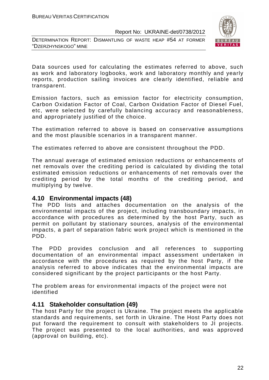DETERMINATION REPORT: DISMANTLING OF WASTE HEAP #54 AT FORMER "DZERZHYNSKOGO" MINE



Data sources used for calculating the estimates referred to above, such as work and laboratory logbooks, work and laboratory monthly and yearly reports, production sailing invoices are clearly identified, reliable and transparent.

Emission factors, such as emission factor for electricity consumption, Carbon Oxidation Factor of Coal, Carbon Oxidation Factor of Diesel Fuel, etc, were selected by carefully balancing accuracy and reasonableness, and appropriately justified of the choice.

The estimation referred to above is based on conservative assumptions and the most plausible scenarios in a transparent manner.

The estimates referred to above are consistent throughout the PDD.

The annual average of estimated emission reductions or enhancements of net removals over the crediting period is calculated by dividing the total estimated emission reductions or enhancements of net removals over the crediting period by the total months of the crediting period, and multiplying by twelve.

#### **4.10 Environmental impacts (48)**

The PDD lists and attaches documentation on the analysis of the environmental impacts of the project, including transboundary impacts, in accordance with procedures as determined by the host Party, such as permit on pollutant by stationary sources, analysis of the environmental impacts, a part of separation fabric work project which is mentioned in the PDD.

The PDD provides conclusion and all references to supporting documentation of an environmental impact assessment undertaken in accordance with the procedures as required by the host Party, if the analysis referred to above indicates that the environmental impacts are considered significant by the project participants or the host Party.

The problem areas for environmental impacts of the project were not identified

#### **4.11 Stakeholder consultation (49)**

The host Party for the project is Ukraine. The project meets the applicable standards and requirements, set forth in Ukraine. The Host Party does not put forward the requirement to consult with stakeholders to JI projects. The project was presented to the local authorities, and was approved (approval on building, etc).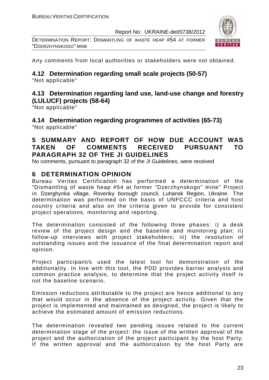DETERMINATION REPORT: DISMANTLING OF WASTE HEAP #54 AT FORMER "DZERZHYNSKOGO" MINE



Any comments from local authorities or stakeholders were not obtained.

## **4.12 Determination regarding small scale projects (50-57)**

"Not applicable"

## **4.13 Determination regarding land use, land-use change and forestry (LULUCF) projects (58-64)**

"Not applicable"

**4.14 Determination regarding programmes of activities (65-73)**  "Not applicable"

## **5 SUMMARY AND REPORT OF HOW DUE ACCOUNT WAS TAKEN OF COMMENTS RECEIVED PURSUANT TO PARAGRAPH 32 OF THE JI GUIDELINES**

No comments, pursuant to paragraph 32 of the JI Guidelines, were received

## **6 DETERMINATION OPINION**

Bureau Veritas Certification has performed a determination of the "Dismantling of waste heap #54 at former "Dzerzhynskogo" mine" Project in Dzerghynka village, Rovenky borough council, Luhansk Region, Ukraine. The determination was performed on the basis of UNFCCC criteria and host country criteria and also on the criteria given to provide for consistent project operations, monitoring and reporting.

The determination consisted of the following three phases: i) a desk review of the project design and the baseline and monitoring plan; ii) follow-up interviews with project stakeholders; iii) the resolution of outstanding issues and the issuance of the final determination report and opinion.

Project participant/s used the latest tool for demonstration of the additionality. In line with this tool, the PDD provides barrier analysis and common practice analysis, to determine that the project activity itself is not the baseline scenario.

Emission reductions attributable to the project are hence additional to any that would occur in the absence of the project activity. Given that the project is implemented and maintained as designed, the project is likely to achieve the estimated amount of emission reductions.

The determination revealed two pending issues related to the current determination stage of the project: the issue of the written approval of the project and the authorization of the project participant by the host Party. If the written approval and the authorization by the host Party are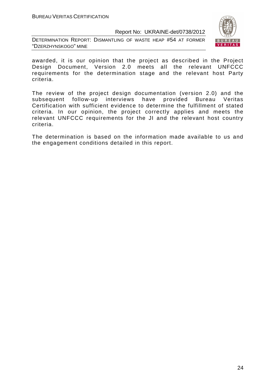DETERMINATION REPORT: DISMANTLING OF WASTE HEAP #54 AT FORMER "DZERZHYNSKOGO" MINE



awarded, it is our opinion that the project as described in the Project Design Document, Version 2.0 meets all the relevant UNFCCC requirements for the determination stage and the relevant host Party criteria.

The review of the project design documentation (version 2.0) and the subsequent follow-up interviews have provided Bureau Veritas Certification with sufficient evidence to determine the fulfillment of stated criteria. In our opinion, the project correctly applies and meets the relevant UNFCCC requirements for the JI and the relevant host country criteria.

The determination is based on the information made available to us and the engagement conditions detailed in this report.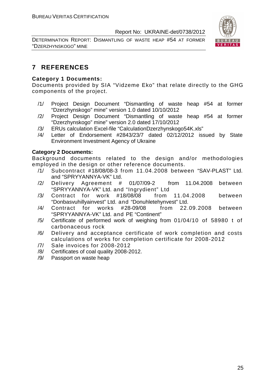DETERMINATION REPORT: DISMANTLING OF WASTE HEAP #54 AT FORMER "DZERZHYNSKOGO" MINE



## **7 REFERENCES**

#### **Category 1 Documents:**

Documents provided by SIA "Vidzeme Eko" that relate directly to the GHG components of the project.

- /1/ Project Design Document "Dismantling of waste heap #54 at former "Dzerzhynskogo" mine" version 1.0 dated 10/10/2012
- /2/ Project Design Document "Dismantling of waste heap #54 at former "Dzerzhynskogo" mine" version 2.0 dated 17/10/2012
- /3/ ERUs calculation Excel-file "CalculationDzerzhynskogo54K.xls"
- /4/ Letter of Endorsement #2843/23/7 dated 02/12/2012 issued by State Environment Investment Agency of Ukraine

#### **Category 2 Documents:**

Background documents related to the design and/or methodologies employed in the design or other reference documents.

- /1/ Subcontract #18/08/08-3 from 11.04.2008 between "SAV-PLAST" Ltd. and "SPRYYANNYA-VK" Ltd.
- /2/ Delivery Agreement # 01/07/09-2 from 11.04.2008 between "SPRYYANNYA-VK" Ltd. and "Ingrydient" Ltd
- /3/ Contract for work #18/08/08 from 11.04.2008 between "Donbasvuhillyainvest" Ltd. and "Donuhletehynvest" Ltd.
- /4/ Contract for works #28-09/08 from 22.09.2008 between "SPRYYANNYA-VK" Ltd. and PE "Continent"
- /5/ Certificate of performed work of weighing from 01/04/10 of 58980 t of carbonaceous rock
- /6/ Delivery and acceptance certificate of work completion and costs calculations of works for completion certificate for 2008-2012
- /7/ Sale invoices for 2008-2012
- /8/ Certificates of coal quality 2008-2012.
- /9/ Passport on waste heap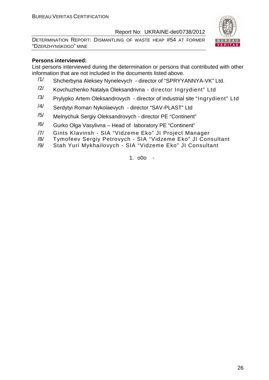DETERMINATION REPORT: DISMANTLING OF WASTE HEAP #54 AT FORMER "DZERZHYNSKOGO" MINE



#### **Persons interviewed:**

List persons interviewed during the determination or persons that contributed with other information that are not included in the documents listed above.

- /1/ Shcherbyna Aleksey Nynelevych director of "SPRYYANNYA-VK" Ltd.
- /2/ Kovchuzhenko Natalya Oleksandrivna director Ingrydient" Ltd
- $/3/$  Prylypko Artem Oleksandrovych director of industrial site "Ingrydient" Ltd
- /4/ Serdytyi Roman Nykolaevych director "SAV-PLAST" Ltd
- /5/ Melnychuk Sergiy Oleksandrovych director PE "Continent"
- $\frac{1}{6}$  Gurko Olga Vasylivna Head of laboratory PE "Continent"
- /7/ Gints KIavinsh SIA "Vidzeme Eko" JI Project Manager
- /8/ Tymofeev Sergiy Petrovych SIA "Vidzeme Eko" JI Consultant
- /9/ Stah Yuri Mykhailovych SIA "Vidzeme Eko" JI Consultant

1. o0o -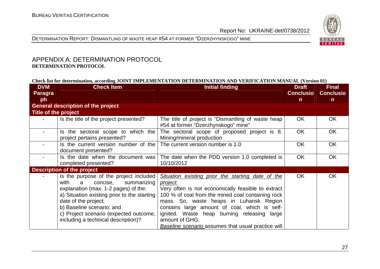



#### APPENDIX A: DETERMINATION PROTOCOL **DETERMINATION PROTOCOL**

#### **Check list for determination, according JOINT IMPLEMENTATION DETERMINATION AND VERIFICATION MANUAL (Version 01)**

| <b>DVM</b><br><b>Paragra</b><br>ph | <b>Check Item</b>                                                                                                                                                                                                                                                                                            | Initial finding                                                                                                                                                                                                                                                                                                                                                                                    | <b>Draft</b><br><b>Conclusio</b><br>$\mathsf{n}$ | <b>Final</b><br><b>Conclusio</b><br>$\mathsf{n}$ |
|------------------------------------|--------------------------------------------------------------------------------------------------------------------------------------------------------------------------------------------------------------------------------------------------------------------------------------------------------------|----------------------------------------------------------------------------------------------------------------------------------------------------------------------------------------------------------------------------------------------------------------------------------------------------------------------------------------------------------------------------------------------------|--------------------------------------------------|--------------------------------------------------|
|                                    | <b>General description of the project</b>                                                                                                                                                                                                                                                                    |                                                                                                                                                                                                                                                                                                                                                                                                    |                                                  |                                                  |
| Title of the project               |                                                                                                                                                                                                                                                                                                              |                                                                                                                                                                                                                                                                                                                                                                                                    |                                                  |                                                  |
|                                    | Is the title of the project presented?                                                                                                                                                                                                                                                                       | The title of project is "Dismantling of waste heap<br>#54 at former "Dzerzhynskogo" mine"                                                                                                                                                                                                                                                                                                          | <b>OK</b>                                        | <b>OK</b>                                        |
|                                    | Is the sectoral scope to which the<br>project pertains presented?                                                                                                                                                                                                                                            | The sectoral scope of proposed project is 8.<br>Mining/mineral production                                                                                                                                                                                                                                                                                                                          | <b>OK</b>                                        | <b>OK</b>                                        |
|                                    | Is the current version number of the<br>document presented?                                                                                                                                                                                                                                                  | The current version number is 1.0                                                                                                                                                                                                                                                                                                                                                                  | <b>OK</b>                                        | <b>OK</b>                                        |
|                                    | Is the date when the document was<br>completed presented?                                                                                                                                                                                                                                                    | The date when the PDD version 1.0 completed is<br>10/10/2012                                                                                                                                                                                                                                                                                                                                       | <b>OK</b>                                        | <b>OK</b>                                        |
|                                    | <b>Description of the project</b>                                                                                                                                                                                                                                                                            |                                                                                                                                                                                                                                                                                                                                                                                                    |                                                  |                                                  |
|                                    | Is the purpose of the project included<br>with<br>concise,<br>summarizing<br>a.<br>explanation (max. 1-2 pages) of the:<br>a) Situation existing prior to the starting<br>date of the project;<br>b) Baseline scenario; and<br>c) Project scenario (expected outcome,<br>including a technical description)? | Situation existing prior the starting date of the<br>project:<br>Very often is not economically feasible to extract<br>100 % of coal from the mined coal containing rock<br>mass. So, waste heaps in Luhansk Region<br>contains large amount of coal, which is self-<br>ignited. Waste heap burning releasing large<br>amount of GHG.<br><b>Baseline scenario assumes that usual practice will</b> | <b>OK</b>                                        | <b>OK</b>                                        |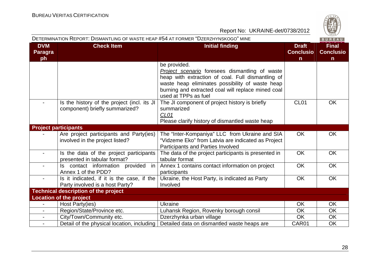|                                    | DETERMINATION REPORT: DISMANTLING OF WASTE HEAP #54 AT FORMER "DZERZHYNSKOGO" MINE |                                                                                                                                                                                                                                                             |                                       | BUREAU                                |
|------------------------------------|------------------------------------------------------------------------------------|-------------------------------------------------------------------------------------------------------------------------------------------------------------------------------------------------------------------------------------------------------------|---------------------------------------|---------------------------------------|
| <b>DVM</b><br><b>Paragra</b><br>ph | <b>Check Item</b>                                                                  | <b>Initial finding</b>                                                                                                                                                                                                                                      | <b>Draft</b><br><b>Conclusio</b><br>n | <b>Final</b><br><b>Conclusio</b><br>n |
|                                    |                                                                                    | be provided.<br><b>Project scenario</b> foresees dismantling of waste<br>heap with extraction of coal. Full dismantling of<br>waste heap eliminates possibility of waste heap<br>burning and extracted coal will replace mined coal<br>used at TPPs as fuel |                                       |                                       |
|                                    | Is the history of the project (incl. its JI<br>component) briefly summarized?      | The JI component of project history is briefly<br>summarized<br>CL <sub>01</sub><br>Please clarify history of dismantled waste heap                                                                                                                         | CL <sub>01</sub>                      | <b>OK</b>                             |
| <b>Project participants</b>        |                                                                                    |                                                                                                                                                                                                                                                             |                                       |                                       |
|                                    | Are project participants and Party(ies)<br>involved in the project listed?         | The "Inter-Kompaniya" LLC from Ukraine and SIA<br>"Vidzeme Eko" from Latvia are indicated as Project<br><b>Participants and Parties Involved</b>                                                                                                            | <b>OK</b>                             | <b>OK</b>                             |
|                                    | Is the data of the project participants<br>presented in tabular format?            | The data of the project participants is presented in<br>tabular format                                                                                                                                                                                      | <b>OK</b>                             | <b>OK</b>                             |
|                                    | $\vert$ is contact information provided in<br>Annex 1 of the PDD?                  | Annex 1 contains contact information on project<br>participants                                                                                                                                                                                             | <b>OK</b>                             | <b>OK</b>                             |
|                                    | Is it indicated, if it is the case, if the<br>Party involved is a host Party?      | Ukraine, the Host Party, is indicated as Party<br>Involved                                                                                                                                                                                                  | <b>OK</b>                             | <b>OK</b>                             |
|                                    | <b>Technical description of the project</b>                                        |                                                                                                                                                                                                                                                             |                                       |                                       |
|                                    | <b>Location of the project</b>                                                     |                                                                                                                                                                                                                                                             |                                       |                                       |
|                                    | Host Party(ies)                                                                    | <b>Ukraine</b>                                                                                                                                                                                                                                              | <b>OK</b>                             | <b>OK</b>                             |
|                                    | Region/State/Province etc.                                                         | Luhansk Region, Rovenky borough consil                                                                                                                                                                                                                      | <b>OK</b>                             | <b>OK</b>                             |
| $\blacksquare$                     | City/Town/Community etc.                                                           | Dzerzhynka urban village                                                                                                                                                                                                                                    | OK                                    | OK                                    |
| $\blacksquare$                     | Detail of the physical location, including                                         | Detailed data on dismantled waste heaps are                                                                                                                                                                                                                 | CAR01                                 | <b>OK</b>                             |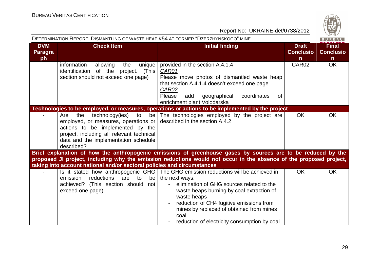

|                                    | DETERMINATION REPORT: DISMANTLING OF WASTE HEAP #54 AT FORMER "DZERZHYNSKOGO" MINE                                                                                                                                 |                                                                                                                                                                                                                                                                                                                                                                                                               |                                                  | BUREAU                                           |
|------------------------------------|--------------------------------------------------------------------------------------------------------------------------------------------------------------------------------------------------------------------|---------------------------------------------------------------------------------------------------------------------------------------------------------------------------------------------------------------------------------------------------------------------------------------------------------------------------------------------------------------------------------------------------------------|--------------------------------------------------|--------------------------------------------------|
| <b>DVM</b><br><b>Paragra</b><br>ph | <b>Check Item</b>                                                                                                                                                                                                  | <b>Initial finding</b>                                                                                                                                                                                                                                                                                                                                                                                        | <b>Draft</b><br><b>Conclusio</b><br>$\mathsf{n}$ | <b>Final</b><br><b>Conclusio</b><br>$\mathsf{n}$ |
|                                    | allowing<br>information<br>the<br>unique<br>identification of the project. (This<br>section should not exceed one page)                                                                                            | provided in the section A.4.1.4<br>CAR01<br>Please move photos of dismantled waste heap<br>that section A.4.1.4 doesn't exceed one page<br><b>CAR02</b><br>Please<br>geographical<br>coordinates<br>add<br>0f<br>enrichment plant Volodarska                                                                                                                                                                  | CAR02                                            | <b>OK</b>                                        |
|                                    |                                                                                                                                                                                                                    | Technologies to be employed, or measures, operations or actions to be implemented by the project                                                                                                                                                                                                                                                                                                              |                                                  |                                                  |
|                                    | technology(ies)<br>the<br>Are<br>to<br>employed, or measures, operations or<br>actions to be implemented by the<br>project, including all relevant technical<br>data and the implementation schedule<br>described? | be The technologies employed by the project are<br>described in the section A.4.2                                                                                                                                                                                                                                                                                                                             | <b>OK</b>                                        | <b>OK</b>                                        |
|                                    |                                                                                                                                                                                                                    | Brief explanation of how the anthropogenic emissions of greenhouse gases by sources are to be reduced by the                                                                                                                                                                                                                                                                                                  |                                                  |                                                  |
|                                    | taking into account national and/or sectoral policies and circumstances                                                                                                                                            | proposed JI project, including why the emission reductions would not occur in the absence of the proposed project,                                                                                                                                                                                                                                                                                            |                                                  |                                                  |
|                                    | reductions<br>are<br>emission<br>to<br>be <sub>1</sub><br>achieved? (This section should not<br>exceed one page)                                                                                                   | Is it stated how anthropogenic GHG   The GHG emission reductions will be achieved in<br>the next ways:<br>elimination of GHG sources related to the<br>$\blacksquare$<br>waste heaps burning by coal extraction of<br>waste heaps<br>reduction of CH4 fugitive emissions from<br>$\overline{\phantom{a}}$<br>mines by replaced of obtained from mines<br>coal<br>reduction of electricity consumption by coal | <b>OK</b>                                        | <b>OK</b>                                        |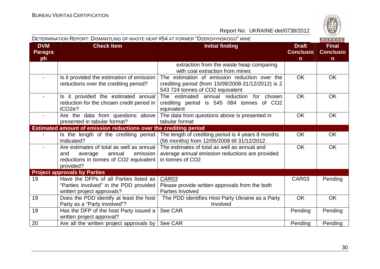

|                                    | DETERMINATION REPORT: DISMANTLING OF WASTE HEAP #54 AT FORMER "DZERZHYNSKOGO" MINE                                                      |                                                                                                                                         |                                       | BUREAU                                |
|------------------------------------|-----------------------------------------------------------------------------------------------------------------------------------------|-----------------------------------------------------------------------------------------------------------------------------------------|---------------------------------------|---------------------------------------|
| <b>DVM</b><br><b>Paragra</b><br>ph | <b>Check Item</b>                                                                                                                       | <b>Initial finding</b>                                                                                                                  | <b>Draft</b><br><b>Conclusio</b><br>n | <b>Final</b><br><b>Conclusio</b><br>n |
|                                    |                                                                                                                                         | extraction from the waste heap comparing<br>with coal extraction from mines                                                             |                                       |                                       |
|                                    | Is it provided the estimation of emission<br>reductions over the crediting period?                                                      | The estimation of emission reduction over the<br>crediting period (from 15/09/2008-31/12/2012) is 2<br>543 724 tonnes of CO2 equivalent | <b>OK</b>                             | <b>OK</b>                             |
|                                    | Is it provided the estimated annual<br>reduction for the chosen credit period in<br>tCO <sub>2</sub> e?                                 | The estimated annual reduction for chosen<br>crediting period is 545 084 tonnes of CO2<br>equivalent                                    | OK                                    | OK                                    |
| $\blacksquare$                     | Are the data from questions above<br>presented in tabular format?                                                                       | The data from questions above is presented in<br>tabular format                                                                         | <b>OK</b>                             | OK                                    |
|                                    | Estimated amount of emission reductions over the crediting period                                                                       |                                                                                                                                         |                                       |                                       |
|                                    | Is the length of the crediting period<br>Indicated?                                                                                     | The length of crediting period is 4 years 8 months<br>(56 months) from 12/05/2008 till 31/12/2012                                       | <b>OK</b>                             | <b>OK</b>                             |
|                                    | Are estimates of total as well as annual<br>annual<br>emission<br>and<br>average<br>reductions in tonnes of CO2 equivalent<br>provided? | The estimates of total as well as annual and<br>average annual emission reductions are provided<br>in tonnes of CO2                     | <b>OK</b>                             | OK                                    |
|                                    | <b>Project approvals by Parties</b>                                                                                                     |                                                                                                                                         |                                       |                                       |
| 19                                 | Have the DFPs of all Parties listed as<br>"Parties involved" in the PDD provided<br>written project approvals?                          | CAR03<br>Please provide written approvals from the both<br>Parties Involved                                                             | CAR <sub>03</sub>                     | Pending                               |
| 19                                 | Does the PDD identify at least the host<br>Party as a "Party involved"?                                                                 | The PDD identifies Host Party Ukraine as a Party<br>Involved                                                                            | <b>OK</b>                             | <b>OK</b>                             |
| 19                                 | Has the DFP of the host Party issued a<br>written project approval?                                                                     | See CAR                                                                                                                                 | Pending                               | Pending                               |
| 20                                 | Are all the written project approvals by                                                                                                | See CAR                                                                                                                                 | Pending                               | Pending                               |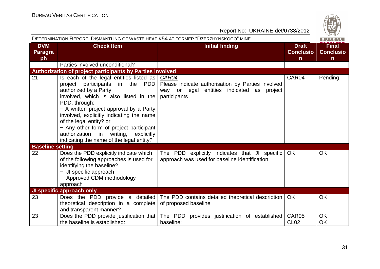

|                                    | DETERMINATION REPORT: DISMANTLING OF WASTE HEAP #54 AT FORMER "DZERZHYNSKOGO" MINE                                                                                                                                                                                                                                                                                                                               |                                                                                                                           |                                                  | BUREAU                                           |
|------------------------------------|------------------------------------------------------------------------------------------------------------------------------------------------------------------------------------------------------------------------------------------------------------------------------------------------------------------------------------------------------------------------------------------------------------------|---------------------------------------------------------------------------------------------------------------------------|--------------------------------------------------|--------------------------------------------------|
| <b>DVM</b><br><b>Paragra</b><br>ph | <b>Check Item</b>                                                                                                                                                                                                                                                                                                                                                                                                | <b>Initial finding</b>                                                                                                    | <b>Draft</b><br><b>Conclusio</b><br>$\mathsf{n}$ | <b>Final</b><br><b>Conclusio</b><br>$\mathsf{n}$ |
|                                    | Parties involved unconditional?                                                                                                                                                                                                                                                                                                                                                                                  |                                                                                                                           |                                                  |                                                  |
|                                    | Authorization of project participants by Parties involved                                                                                                                                                                                                                                                                                                                                                        |                                                                                                                           |                                                  |                                                  |
| 21                                 | Is each of the legal entities listed as  <br>project participants in the PDD<br>authorized by a Party<br>involved, which is also listed in the<br>PDD, through:<br>- A written project approval by a Party<br>involved, explicitly indicating the name<br>of the legal entity? or<br>- Any other form of project participant<br>authorization in writing, explicitly<br>indicating the name of the legal entity? | CAR04<br>Please indicate authorisation by Parties involved<br>way for legal entities indicated as project<br>participants | CAR04                                            | Pending                                          |
| <b>Baseline setting</b>            |                                                                                                                                                                                                                                                                                                                                                                                                                  |                                                                                                                           |                                                  |                                                  |
| 22                                 | Does the PDD explicitly indicate which<br>of the following approaches is used for<br>identifying the baseline?<br>- JI specific approach<br>- Approved CDM methodology<br>approach                                                                                                                                                                                                                               | The PDD explicitly indicates that JI specific<br>approach was used for baseline identification                            | <b>OK</b>                                        | <b>OK</b>                                        |
|                                    | JI specific approach only                                                                                                                                                                                                                                                                                                                                                                                        |                                                                                                                           |                                                  |                                                  |
| 23                                 | theoretical description in a complete  <br>and transparent manner?                                                                                                                                                                                                                                                                                                                                               | Does the PDD provide a detailed The PDD contains detailed theoretical description<br>of proposed baseline                 | <b>OK</b>                                        | <b>OK</b>                                        |
| 23                                 | Does the PDD provide justification that<br>the baseline is established:                                                                                                                                                                                                                                                                                                                                          | The PDD provides justification of established<br>baseline:                                                                | CAR05<br><b>CL02</b>                             | <b>OK</b><br><b>OK</b>                           |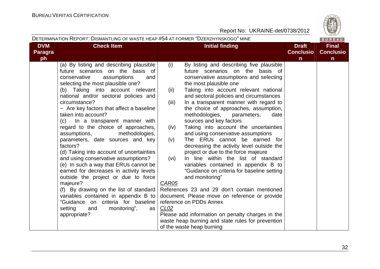|                                    | DETERMINATION REPORT: DISMANTLING OF WASTE HEAP #54 AT FORMER "DZERZHYNSKOGO" MINE                                                                                                                                                                                                                                                                                                                                                                                                                                                                                                                                                                                                                                                                                                                                                                                                                  |                                                                                                                                                                                                                                                                                                                                                                                                                                                                                                                                                                                                                                                                                                                                                                                                                                                                                                                                                                                                                                                                                   |                                                  | BUREAU                                           |
|------------------------------------|-----------------------------------------------------------------------------------------------------------------------------------------------------------------------------------------------------------------------------------------------------------------------------------------------------------------------------------------------------------------------------------------------------------------------------------------------------------------------------------------------------------------------------------------------------------------------------------------------------------------------------------------------------------------------------------------------------------------------------------------------------------------------------------------------------------------------------------------------------------------------------------------------------|-----------------------------------------------------------------------------------------------------------------------------------------------------------------------------------------------------------------------------------------------------------------------------------------------------------------------------------------------------------------------------------------------------------------------------------------------------------------------------------------------------------------------------------------------------------------------------------------------------------------------------------------------------------------------------------------------------------------------------------------------------------------------------------------------------------------------------------------------------------------------------------------------------------------------------------------------------------------------------------------------------------------------------------------------------------------------------------|--------------------------------------------------|--------------------------------------------------|
| <b>DVM</b><br><b>Paragra</b><br>ph | <b>Check Item</b>                                                                                                                                                                                                                                                                                                                                                                                                                                                                                                                                                                                                                                                                                                                                                                                                                                                                                   | <b>Initial finding</b>                                                                                                                                                                                                                                                                                                                                                                                                                                                                                                                                                                                                                                                                                                                                                                                                                                                                                                                                                                                                                                                            | <b>Draft</b><br><b>Conclusio</b><br>$\mathsf{n}$ | <b>Final</b><br><b>Conclusio</b><br>$\mathsf{n}$ |
|                                    | (a) By listing and describing plausible<br>future scenarios on the basis of<br>conservative<br>assumptions<br>and<br>selecting the most plausible one?<br>(b) Taking into account relevant<br>national and/or sectoral policies and<br>circumstance?<br>- Are key factors that affect a baseline<br>taken into account?<br>In a transparent manner with<br>(C)<br>regard to the choice of approaches,<br>methodologies,<br>assumptions,<br>parameters, date sources and key<br>factors?<br>(d) Taking into account of uncertainties<br>and using conservative assumptions?<br>(e) In such a way that ERUs cannot be<br>earned for decreases in activity levels<br>outside the project or due to force<br>majeure?<br>(f) By drawing on the list of standard<br>variables contained in appendix B to<br>"Guidance on criteria for baseline<br>setting<br>and<br>monitoring",<br>as  <br>appropriate? | By listing and describing five plausible<br>(i)<br>future scenarios on the basis of<br>conservative assumptions and selecting<br>the most plausible one<br>Taking into account relevant national<br>(ii)<br>and sectoral policies and circumstances<br>In a transparent manner with regard to<br>(iii)<br>the choice of approaches, assumption,<br>methodologies,<br>parameters,<br>date<br>sources and key factors<br>Taking into account the uncertainties<br>(iv)<br>and using conservative assumptions<br>The ERUs cannot be earned for<br>(v)<br>decreasing the activity level outside the<br>project or due to the force majeure<br>In line within the list of standard<br>(vi)<br>variables contained in appendix B to<br>"Guidance on criteria for baseline setting<br>and monitoring"<br>CAR05<br>References 23 and 29 don't contain mentioned<br>document. Please move on reference or provide<br>reference on PDDs Annex<br>CLO2<br>Please add information on penalty charges in the<br>waste heap burning and state rules for prevention<br>of the waste heap burning |                                                  |                                                  |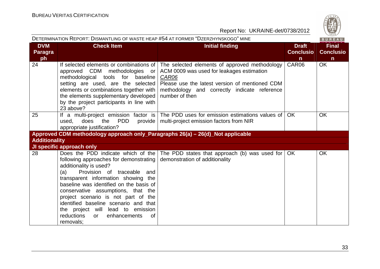

|                                    | DETERMINATION REPORT: DISMANTLING OF WASTE HEAP #54 AT FORMER "DZERZHYNSKOGO" MINE                                                                                                                                                                                                                                                                                                                                                         |                                                                                                                                                                                                                         |                                       | BUREAU                                           |
|------------------------------------|--------------------------------------------------------------------------------------------------------------------------------------------------------------------------------------------------------------------------------------------------------------------------------------------------------------------------------------------------------------------------------------------------------------------------------------------|-------------------------------------------------------------------------------------------------------------------------------------------------------------------------------------------------------------------------|---------------------------------------|--------------------------------------------------|
| <b>DVM</b><br><b>Paragra</b><br>ph | <b>Check Item</b>                                                                                                                                                                                                                                                                                                                                                                                                                          | <b>Initial finding</b>                                                                                                                                                                                                  | <b>Draft</b><br><b>Conclusio</b><br>n | <b>Final</b><br><b>Conclusio</b><br>$\mathsf{n}$ |
| 24                                 | If selected elements or combinations of  <br>approved CDM methodologies or<br>methodological tools for baseline<br>setting are used, are the selected<br>elements or combinations together with  <br>the elements supplementary developed<br>by the project participants in line with<br>23 above?                                                                                                                                         | The selected elements of approved methodology<br>ACM 0009 was used for leakages estimation<br>CAR06<br>Please use the latest version of mentioned CDM<br>methodology and correctly indicate reference<br>number of then | CAR06                                 | <b>OK</b>                                        |
| 25                                 | <b>PDD</b><br>does<br>the<br>used,<br>appropriate justification?                                                                                                                                                                                                                                                                                                                                                                           | If a multi-project emission factor is   The PDD uses for emission estimations values of  <br>provide   multi-project emission factors from NIR                                                                          | <b>OK</b>                             | <b>OK</b>                                        |
|                                    | Approved CDM methodology approach only_Paragraphs 26(a) - 26(d)_Not applicable                                                                                                                                                                                                                                                                                                                                                             |                                                                                                                                                                                                                         |                                       |                                                  |
| <b>Additionality</b>               |                                                                                                                                                                                                                                                                                                                                                                                                                                            |                                                                                                                                                                                                                         |                                       |                                                  |
|                                    | JI specific approach only                                                                                                                                                                                                                                                                                                                                                                                                                  |                                                                                                                                                                                                                         |                                       |                                                  |
| 28                                 | following approaches for demonstrating   demonstration of additionality<br>additionality is used?<br>(a)<br>Provision of traceable and<br>transparent information showing the<br>baseline was identified on the basis of<br>conservative assumptions, that the<br>project scenario is not part of the<br>identified baseline scenario and that<br>the project will lead to emission<br>reductions<br>enhancements<br>or<br>0f<br>removals; | Does the PDD indicate which of the   The PDD states that approach (b) was used for   OK                                                                                                                                 |                                       | <b>OK</b>                                        |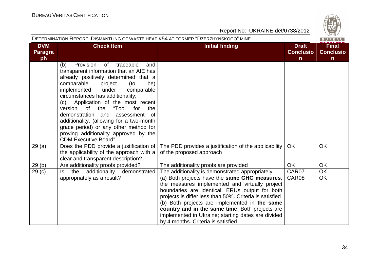| 6.  |
|-----|
|     |
| 828 |

|                                    | DETERMINATION REPORT: DISMANTLING OF WASTE HEAP #54 AT FORMER "DZERZHYNSKOGO" MINE                                                                                                                                                                                                                                                                                                                                                                                                                                                            |                                                                                                                                                                                                                                                                                                                                                                                                                                                                  |                                                  | BUREAU                                           |
|------------------------------------|-----------------------------------------------------------------------------------------------------------------------------------------------------------------------------------------------------------------------------------------------------------------------------------------------------------------------------------------------------------------------------------------------------------------------------------------------------------------------------------------------------------------------------------------------|------------------------------------------------------------------------------------------------------------------------------------------------------------------------------------------------------------------------------------------------------------------------------------------------------------------------------------------------------------------------------------------------------------------------------------------------------------------|--------------------------------------------------|--------------------------------------------------|
| <b>DVM</b><br><b>Paragra</b><br>ph | <b>Check Item</b>                                                                                                                                                                                                                                                                                                                                                                                                                                                                                                                             | <b>Initial finding</b>                                                                                                                                                                                                                                                                                                                                                                                                                                           | <b>Draft</b><br><b>Conclusio</b><br>$\mathsf{n}$ | <b>Final</b><br><b>Conclusio</b><br>$\mathsf{n}$ |
|                                    | Provision<br>of traceable<br>(b)<br>and<br>transparent information that an AIE has<br>already positively determined that a<br>comparable<br>project<br>(to<br>be)<br>implemented<br>under<br>comparable<br>circumstances has additionality;<br>Application of the most recent<br>(c)<br>"Tool<br>0f<br>the<br>version<br>for<br>the<br>demonstration<br>and<br>assessment<br>0f<br>additionality. (allowing for a two-month<br>grace period) or any other method for<br>proving additionality approved by the<br><b>CDM Executive Board".</b> |                                                                                                                                                                                                                                                                                                                                                                                                                                                                  |                                                  |                                                  |
| 29(a)                              | Does the PDD provide a justification of<br>the applicability of the approach with a<br>clear and transparent description?                                                                                                                                                                                                                                                                                                                                                                                                                     | The PDD provides a justification of the applicability<br>of the proposed approach                                                                                                                                                                                                                                                                                                                                                                                | OK.                                              | <b>OK</b>                                        |
| 29(b)                              | Are additionality proofs provided?                                                                                                                                                                                                                                                                                                                                                                                                                                                                                                            | The additionality proofs are provided                                                                                                                                                                                                                                                                                                                                                                                                                            | <b>OK</b>                                        | <b>OK</b>                                        |
| 29 <sub>(c)</sub>                  | the additionality demonstrated<br>ls.<br>appropriately as a result?                                                                                                                                                                                                                                                                                                                                                                                                                                                                           | The additionality is demonstrated appropriately:<br>(a) Both projects have the same GHG measures,<br>the measures implemented and virtually project<br>boundaries are identical. ERUs output for both<br>projects is differ less than 50%. Criteria is satisfied<br>(b) Both projects are implemented in the same<br>country and in the same time. Both projects are<br>implemented in Ukraine; starting dates are divided<br>by 4 months. Criteria is satisfied | CAR07<br>CAR08                                   | <b>OK</b><br>OK                                  |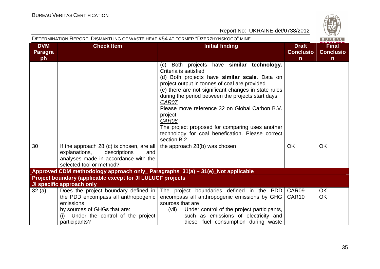

| DETERMINATION REPORT: DISMANTLING OF WASTE HEAP #54 AT FORMER "DZERZHYNSKOGO" MINE<br>BUREAU |                                                                                                                                                                                   |                                                                                                                                                                                                                                                                                                                                                                                                                                                                                                                             |                                                  |                                                  |
|----------------------------------------------------------------------------------------------|-----------------------------------------------------------------------------------------------------------------------------------------------------------------------------------|-----------------------------------------------------------------------------------------------------------------------------------------------------------------------------------------------------------------------------------------------------------------------------------------------------------------------------------------------------------------------------------------------------------------------------------------------------------------------------------------------------------------------------|--------------------------------------------------|--------------------------------------------------|
| <b>DVM</b><br>Paragra<br>ph                                                                  | <b>Check Item</b>                                                                                                                                                                 | <b>Initial finding</b>                                                                                                                                                                                                                                                                                                                                                                                                                                                                                                      | <b>Draft</b><br><b>Conclusio</b><br>$\mathsf{n}$ | <b>Final</b><br><b>Conclusio</b><br>$\mathsf{n}$ |
| 30                                                                                           | If the approach 28 (c) is chosen, are all $\vert$                                                                                                                                 | Both projects have similar technology.<br>(c)<br>Criteria is satisfied<br>(d) Both projects have similar scale. Data on<br>project output in tonnes of coal are provided<br>(e) there are not significant changes in state rules<br>during the period between the projects start days<br>CAR07<br>Please move reference 32 on Global Carbon B.V.<br>project<br>CAR08<br>The project proposed for comparing uses another<br>technology for coal benefication. Please correct<br>section B.2<br>the approach 28(b) was chosen | <b>OK</b>                                        | <b>OK</b>                                        |
|                                                                                              | explanations,<br>descriptions<br>and<br>analyses made in accordance with the<br>selected tool or method?                                                                          |                                                                                                                                                                                                                                                                                                                                                                                                                                                                                                                             |                                                  |                                                  |
|                                                                                              | Approved CDM methodology approach only_ Paragraphs 31(a) - 31(e)_Not applicable                                                                                                   |                                                                                                                                                                                                                                                                                                                                                                                                                                                                                                                             |                                                  |                                                  |
|                                                                                              | Project boundary (applicable except for JI LULUCF projects                                                                                                                        |                                                                                                                                                                                                                                                                                                                                                                                                                                                                                                                             |                                                  |                                                  |
|                                                                                              | JI specific approach only                                                                                                                                                         |                                                                                                                                                                                                                                                                                                                                                                                                                                                                                                                             |                                                  |                                                  |
| 32(a)                                                                                        | Does the project boundary defined in $ $<br>the PDD encompass all anthropogenic<br>emissions<br>by sources of GHGs that are:<br>Under the control of the project<br>participants? | The project boundaries defined in the PDD<br>encompass all anthropogenic emissions by GHG<br>sources that are<br>Under control of the project participants,<br>(vii)<br>such as emissions of electricity and<br>diesel fuel consumption during waste                                                                                                                                                                                                                                                                        | CAR09<br>CAR <sub>10</sub>                       | <b>OK</b><br>OK                                  |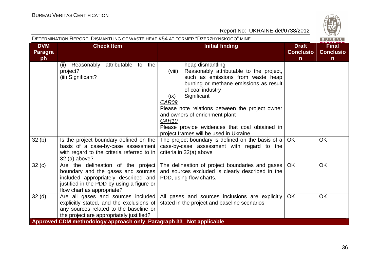|                                    | DETERMINATION REPORT: DISMANTLING OF WASTE HEAP #54 AT FORMER "DZERZHYNSKOGO" MINE                                                                                                            |                                                                                                                                                                                                                                                                                                                                                                                                                |                                                  | BUREAU                                           |
|------------------------------------|-----------------------------------------------------------------------------------------------------------------------------------------------------------------------------------------------|----------------------------------------------------------------------------------------------------------------------------------------------------------------------------------------------------------------------------------------------------------------------------------------------------------------------------------------------------------------------------------------------------------------|--------------------------------------------------|--------------------------------------------------|
| <b>DVM</b><br><b>Paragra</b><br>ph | <b>Check Item</b>                                                                                                                                                                             | <b>Initial finding</b>                                                                                                                                                                                                                                                                                                                                                                                         | <b>Draft</b><br><b>Conclusio</b><br>$\mathsf{n}$ | <b>Final</b><br><b>Conclusio</b><br>$\mathsf{n}$ |
|                                    | (ii) Reasonably attributable to the<br>project?<br>(iii) Significant?                                                                                                                         | heap dismantling<br>Reasonably attributable to the project,<br>(viii)<br>such as emissions from waste heap<br>burning or methane emissions as result<br>of coal industry<br>Significant<br>(ix)<br>CAR09<br>Please note relations between the project owner<br>and owners of enrichment plant<br>CAR <sub>10</sub><br>Please provide evidences that coal obtained in<br>project frames will be used in Ukraine |                                                  |                                                  |
| 32(b)                              | Is the project boundary defined on the<br>basis of a case-by-case assessment<br>with regard to the criteria referred to in $ $<br>32 (a) above?                                               | The project boundary is defined on the basis of a<br>case-by-case assessment with regard to the<br>criteria in 32(a) above                                                                                                                                                                                                                                                                                     | OK.                                              | <b>OK</b>                                        |
| 32(c)                              | Are the delineation of the project<br>boundary and the gases and sources  <br>included appropriately described and<br>justified in the PDD by using a figure or<br>flow chart as appropriate? | The delineation of project boundaries and gases<br>and sources excluded is clearly described in the<br>PDD, using flow charts.                                                                                                                                                                                                                                                                                 | OK.                                              | OK                                               |
| 32 <sub>(d)</sub>                  | explicitly stated, and the exclusions of<br>any sources related to the baseline or<br>the project are appropriately justified?                                                                | Are all gases and sources included All gases and sources inclusions are explicitly<br>stated in the project and baseline scenarios                                                                                                                                                                                                                                                                             | <b>OK</b>                                        | <b>OK</b>                                        |
|                                    | Approved CDM methodology approach only_Paragraph 33_ Not applicable                                                                                                                           |                                                                                                                                                                                                                                                                                                                                                                                                                |                                                  |                                                  |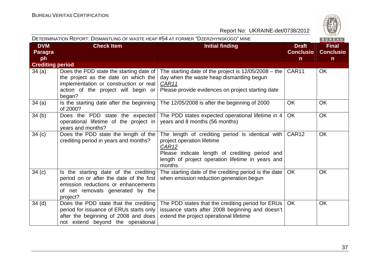

| DETERMINATION REPORT: DISMANTLING OF WASTE HEAP #54 AT FORMER "DZERZHYNSKOGO" MINE<br>BUREAU |                                                                                                                                                                            |                                                                                                                                                                                                                      |                                                  |                                                  |
|----------------------------------------------------------------------------------------------|----------------------------------------------------------------------------------------------------------------------------------------------------------------------------|----------------------------------------------------------------------------------------------------------------------------------------------------------------------------------------------------------------------|--------------------------------------------------|--------------------------------------------------|
| <b>DVM</b><br><b>Paragra</b><br>ph                                                           | <b>Check Item</b>                                                                                                                                                          | <b>Initial finding</b>                                                                                                                                                                                               | <b>Draft</b><br><b>Conclusio</b><br>$\mathsf{n}$ | <b>Final</b><br><b>Conclusio</b><br>$\mathsf{n}$ |
| <b>Crediting period</b>                                                                      |                                                                                                                                                                            |                                                                                                                                                                                                                      |                                                  |                                                  |
| 34(a)                                                                                        | Does the PDD state the starting date of<br>the project as the date on which the<br>implementation or construction or real<br>action of the project will begin or<br>began? | The starting date of the project is $12/05/2008 -$ the<br>day when the waste heap dismantling begun<br>CAR11<br>Please provide evidences on project starting date                                                    | CAR11                                            | <b>OK</b>                                        |
| 34(a)                                                                                        | Is the starting date after the beginning<br>of 2000?                                                                                                                       | The 12/05/2008 is after the beginning of 2000                                                                                                                                                                        | <b>OK</b>                                        | <b>OK</b>                                        |
| 34(b)                                                                                        | Does the PDD state the expected<br>operational lifetime of the project in<br>years and months?                                                                             | The PDD states expected operational lifetime in 4<br>years and 8 months (56 months)                                                                                                                                  | OK                                               | <b>OK</b>                                        |
| 34(c)                                                                                        | Does the PDD state the length of the<br>crediting period in years and months?                                                                                              | The length of crediting period is identical with<br>project operation lifetime<br>CAR <sub>12</sub><br>Please indicate length of crediting period and<br>length of project operation lifetime in years and<br>months | CAR12                                            | <b>OK</b>                                        |
| 34(c)                                                                                        | Is the starting date of the crediting<br>period on or after the date of the first<br>emission reductions or enhancements<br>of net removals generated by the<br>project?   | The starting date of the crediting period is the date<br>when emission reduction generation begun                                                                                                                    | <b>OK</b>                                        | <b>OK</b>                                        |
| 34 <sub>(d)</sub>                                                                            | Does the PDD state that the crediting<br>period for issuance of ERUs starts only<br>after the beginning of 2008 and does<br>not extend beyond the operational              | The PDD states that the crediting period for ERUs<br>issuance starts after 2008 beginning and doesn't<br>extend the project operational lifetime                                                                     | OK.                                              | <b>OK</b>                                        |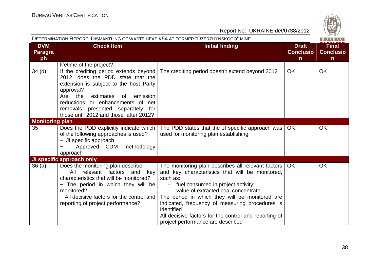

| DETERMINATION REPORT: DISMANTLING OF WASTE HEAP #54 AT FORMER "DZERZHYNSKOGO" MINE<br>BUREAU |                                                                                                                                                                                                                                                                                                      |                                                                                                                                                                                                                                                                                                                                                                                                                   |                                                  |                                                  |
|----------------------------------------------------------------------------------------------|------------------------------------------------------------------------------------------------------------------------------------------------------------------------------------------------------------------------------------------------------------------------------------------------------|-------------------------------------------------------------------------------------------------------------------------------------------------------------------------------------------------------------------------------------------------------------------------------------------------------------------------------------------------------------------------------------------------------------------|--------------------------------------------------|--------------------------------------------------|
| <b>DVM</b><br><b>Paragra</b><br>ph                                                           | <b>Check Item</b>                                                                                                                                                                                                                                                                                    | <b>Initial finding</b>                                                                                                                                                                                                                                                                                                                                                                                            | <b>Draft</b><br><b>Conclusio</b><br>$\mathsf{n}$ | <b>Final</b><br><b>Conclusio</b><br>$\mathsf{n}$ |
|                                                                                              | lifetime of the project?                                                                                                                                                                                                                                                                             |                                                                                                                                                                                                                                                                                                                                                                                                                   |                                                  |                                                  |
| 34 <sub>(d)</sub>                                                                            | If the crediting period extends beyond  <br>2012, does the PDD state that the<br>extension is subject to the host Party<br>approval?<br>Are the<br>estimates<br>emission<br>. of<br>reductions or enhancements of net<br>removals presented separately for<br>those until 2012 and those after 2012? | The crediting period doesn't extend beyond 2012                                                                                                                                                                                                                                                                                                                                                                   | <b>OK</b>                                        | <b>OK</b>                                        |
| <b>Monitoring plan</b>                                                                       |                                                                                                                                                                                                                                                                                                      |                                                                                                                                                                                                                                                                                                                                                                                                                   |                                                  |                                                  |
| 35                                                                                           | Does the PDD explicitly indicate which<br>of the following approaches is used?<br>- JI specific approach<br>Approved CDM methodology<br>approach                                                                                                                                                     | The PDD states that the JI specific approach was<br>used for monitoring plan establishing                                                                                                                                                                                                                                                                                                                         | OK.                                              | <b>OK</b>                                        |
|                                                                                              | JI specific approach only                                                                                                                                                                                                                                                                            |                                                                                                                                                                                                                                                                                                                                                                                                                   |                                                  |                                                  |
| 36(a)                                                                                        | Does the monitoring plan describe:<br>relevant factors and<br>All<br>key<br>characteristics that will be monitored?<br>- The period in which they will be<br>monitored?<br>- All decisive factors for the control and<br>reporting of project performance?                                           | The monitoring plan describes all relevant factors<br>and key characteristics that will be monitored,<br>such as:<br>- fuel consumed in project activity;<br>value of extracted coal concentrate<br>The period in which they will be monitored are<br>indicated, frequency of measuring procedures is<br>identified<br>All decisive factors for the control and reporting of<br>project performance are described | <b>OK</b>                                        | <b>OK</b>                                        |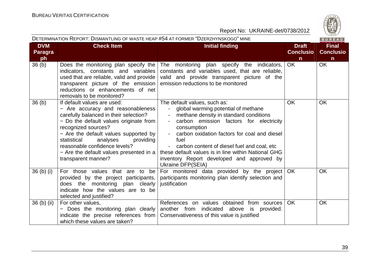

|                                    | DETERMINATION REPORT: DISMANTLING OF WASTE HEAP #54 AT FORMER "DZERZHYNSKOGO" MINE                                                                                                                                                                                                                                                                              |                                                                                                                                                                                                                                                                                                                                                                                                                                        |                                                  | $\vee$ 829/<br>BUREAU                            |
|------------------------------------|-----------------------------------------------------------------------------------------------------------------------------------------------------------------------------------------------------------------------------------------------------------------------------------------------------------------------------------------------------------------|----------------------------------------------------------------------------------------------------------------------------------------------------------------------------------------------------------------------------------------------------------------------------------------------------------------------------------------------------------------------------------------------------------------------------------------|--------------------------------------------------|--------------------------------------------------|
| <b>DVM</b><br><b>Paragra</b><br>ph | <b>Check Item</b>                                                                                                                                                                                                                                                                                                                                               | <b>Initial finding</b>                                                                                                                                                                                                                                                                                                                                                                                                                 | <b>Draft</b><br><b>Conclusio</b><br>$\mathsf{n}$ | <b>Final</b><br><b>Conclusio</b><br>$\mathsf{n}$ |
| 36 <sub>(b)</sub>                  | Does the monitoring plan specify the $ $<br>indicators, constants and variables<br>used that are reliable, valid and provide<br>transparent picture of the emission<br>reductions or enhancements of net<br>removals to be monitored?                                                                                                                           | The monitoring plan specify the indicators,<br>constants and variables used, that are reliable,<br>valid and provide transparent picture of the<br>emission reductions to be monitored                                                                                                                                                                                                                                                 | OK                                               | <b>OK</b>                                        |
| 36 <sub>(b)</sub>                  | If default values are used:<br>- Are accuracy and reasonableness<br>carefully balanced in their selection?<br>- Do the default values originate from<br>recognized sources?<br>- Are the default values supported by<br>analyses<br>providing<br>statistical<br>reasonable confidence levels?<br>- Are the default values presented in a<br>transparent manner? | The default values, such as:<br>global warming potential of methane<br>$\overline{\phantom{a}}$<br>methane density in standard conditions<br>carbon emission factors for electricity<br>consumption<br>carbon oxidation factors for coal and diesel<br>fuel<br>- carbon content of diesel fuel and coal, etc<br>these default values is in line within National GHG<br>inventory Report developed and approved by<br>Ukraine DFP(SEIA) | <b>OK</b>                                        | <b>OK</b>                                        |
| 36 <sub>(b)</sub> <sub>(i)</sub>   | For those values that are to be<br>provided by the project participants,<br>does the monitoring plan clearly<br>indicate how the values are to be<br>selected and justified?                                                                                                                                                                                    | For monitored data provided by the project   OK<br>participants monitoring plan identify selection and<br>justification                                                                                                                                                                                                                                                                                                                |                                                  | <b>OK</b>                                        |
| 36 (b) (ii)                        | For other values,<br>- Does the monitoring plan clearly<br>indicate the precise references from<br>which these values are taken?                                                                                                                                                                                                                                | References on values obtained from sources<br>another from indicated above<br>provided.<br>is<br>Conservativeness of this value is justified                                                                                                                                                                                                                                                                                           | <b>OK</b>                                        | <b>OK</b>                                        |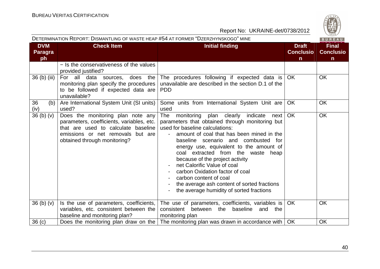| DETERMINATION REPORT: DISMANTLING OF WASTE HEAP #54 AT FORMER "DZERZHYNSKOGO" MINE<br>BUREAU |                                                                                                                                                                                               |                                                                                                                                                                                                                                                                                                                                                                                                                                                                                                                                      |                                                  |                                                  |
|----------------------------------------------------------------------------------------------|-----------------------------------------------------------------------------------------------------------------------------------------------------------------------------------------------|--------------------------------------------------------------------------------------------------------------------------------------------------------------------------------------------------------------------------------------------------------------------------------------------------------------------------------------------------------------------------------------------------------------------------------------------------------------------------------------------------------------------------------------|--------------------------------------------------|--------------------------------------------------|
| <b>DVM</b><br><b>Paragra</b><br>ph                                                           | <b>Check Item</b>                                                                                                                                                                             | <b>Initial finding</b>                                                                                                                                                                                                                                                                                                                                                                                                                                                                                                               | <b>Draft</b><br><b>Conclusio</b><br>$\mathsf{n}$ | <b>Final</b><br><b>Conclusio</b><br>$\mathsf{n}$ |
|                                                                                              | - Is the conservativeness of the values<br>provided justified?                                                                                                                                |                                                                                                                                                                                                                                                                                                                                                                                                                                                                                                                                      |                                                  |                                                  |
| 36 (b) (iii)                                                                                 | For all data sources, does the<br>monitoring plan specify the procedures<br>to be followed if expected data are<br>unavailable?                                                               | The procedures following if expected data is<br>unavailable are described in the section D.1 of the<br><b>PDD</b>                                                                                                                                                                                                                                                                                                                                                                                                                    | OK                                               | <b>OK</b>                                        |
| 36<br>(b)<br>(iv)                                                                            | Are International System Unit (SI units)<br>used?                                                                                                                                             | Some units from International System Unit are<br>used                                                                                                                                                                                                                                                                                                                                                                                                                                                                                | <b>OK</b>                                        | <b>OK</b>                                        |
| 36 <sub>(b)</sub> <sub>(v)</sub>                                                             | Does the monitoring plan note any<br>parameters, coefficients, variables, etc.<br>that are used to calculate baseline<br>emissions or net removals<br>but are<br>obtained through monitoring? | The<br>monitoring plan clearly indicate<br>next<br>parameters that obtained through monitoring but<br>used for baseline calculations:<br>amount of coal that has been mined in the<br>baseline scenario and combusted for<br>energy use, equivalent to the amount of<br>coal extracted from the waste heap<br>because of the project activity<br>net Calorific Value of coal<br>carbon Oxidation factor of coal<br>carbon content of coal<br>the average ash content of sorted fractions<br>the average humidity of sorted fractions | OK                                               | <b>OK</b>                                        |
| 36 <sub>(b)</sub> <sub>(v)</sub>                                                             | Is the use of parameters, coefficients,<br>variables, etc. consistent between the<br>baseline and monitoring plan?                                                                            | The use of parameters, coefficients, variables is<br>consistent<br>between the<br>baseline<br>and<br>the<br>monitoring plan                                                                                                                                                                                                                                                                                                                                                                                                          | <b>OK</b>                                        | <b>OK</b>                                        |
| 36 <sub>(c)</sub>                                                                            | Does the monitoring plan draw on the $ $                                                                                                                                                      | The monitoring plan was drawn in accordance with                                                                                                                                                                                                                                                                                                                                                                                                                                                                                     | <b>OK</b>                                        | OK                                               |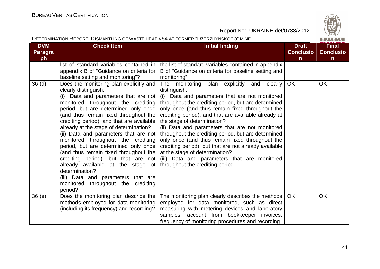

|                                    | DETERMINATION REPORT: DISMANTLING OF WASTE HEAP #54 AT FORMER "DZERZHYNSKOGO" MINE                                                                                                                                                                                                                                                                                                                                                                                                                                                                                                                                                                                           |                                                                                                                                                                                                                                                                                                                                                                                                                                                                                                                                                                                                                                                                 |                                                  | BUREAU                                           |
|------------------------------------|------------------------------------------------------------------------------------------------------------------------------------------------------------------------------------------------------------------------------------------------------------------------------------------------------------------------------------------------------------------------------------------------------------------------------------------------------------------------------------------------------------------------------------------------------------------------------------------------------------------------------------------------------------------------------|-----------------------------------------------------------------------------------------------------------------------------------------------------------------------------------------------------------------------------------------------------------------------------------------------------------------------------------------------------------------------------------------------------------------------------------------------------------------------------------------------------------------------------------------------------------------------------------------------------------------------------------------------------------------|--------------------------------------------------|--------------------------------------------------|
| <b>DVM</b><br><b>Paragra</b><br>ph | <b>Check Item</b>                                                                                                                                                                                                                                                                                                                                                                                                                                                                                                                                                                                                                                                            | <b>Initial finding</b>                                                                                                                                                                                                                                                                                                                                                                                                                                                                                                                                                                                                                                          | <b>Draft</b><br><b>Conclusio</b><br>$\mathsf{n}$ | <b>Final</b><br><b>Conclusio</b><br>$\mathsf{n}$ |
|                                    | list of standard variables contained in<br>appendix B of "Guidance on criteria for  <br>baseline setting and monitoring"?                                                                                                                                                                                                                                                                                                                                                                                                                                                                                                                                                    | the list of standard variables contained in appendix<br>B of "Guidance on criteria for baseline setting and<br>monitoring"                                                                                                                                                                                                                                                                                                                                                                                                                                                                                                                                      |                                                  |                                                  |
| 36 <sub>(d)</sub>                  | Does the monitoring plan explicitly and<br>clearly distinguish:<br>(i) Data and parameters that are not<br>monitored throughout the crediting<br>period, but are determined only once<br>(and thus remain fixed throughout the<br>crediting period), and that are available<br>already at the stage of determination?<br>(ii) Data and parameters that are not<br>monitored throughout the crediting<br>period, but are determined only once<br>(and thus remain fixed throughout the  <br>crediting period), but that are not<br>already available at the stage of<br>determination?<br>(iii) Data and parameters that are<br>monitored throughout the crediting<br>period? | The monitoring plan explicitly<br>clearly<br>and<br>distinguish:<br>(i) Data and parameters that are not monitored<br>throughout the crediting period, but are determined<br>only once (and thus remain fixed throughout the<br>crediting period), and that are available already at<br>the stage of determination?<br>(ii) Data and parameters that are not monitored<br>throughout the crediting period, but are determined<br>only once (and thus remain fixed throughout the<br>crediting period), but that are not already available<br>at the stage of determination?<br>(iii) Data and parameters that are monitored<br>throughout the crediting period. | <b>OK</b>                                        | OK                                               |
| 36(e)                              | Does the monitoring plan describe the<br>methods employed for data monitoring<br>(including its frequency) and recording?                                                                                                                                                                                                                                                                                                                                                                                                                                                                                                                                                    | The monitoring plan clearly describes the methods<br>employed for data monitored, such as direct<br>measuring with metering devices and laboratory<br>samples, account from bookkeeper invoices;<br>frequency of monitoring procedures and recording                                                                                                                                                                                                                                                                                                                                                                                                            | OK.                                              | <b>OK</b>                                        |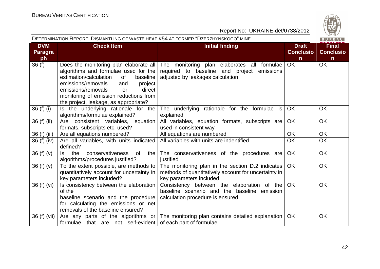

| DETERMINATION REPORT: DISMANTLING OF WASTE HEAP #54 AT FORMER "DZERZHYNSKOGO" MINE |                                                                                                                                                                                                                                                          |                                                                                                                                                                      |                                                  | BUREAU                                           |
|------------------------------------------------------------------------------------|----------------------------------------------------------------------------------------------------------------------------------------------------------------------------------------------------------------------------------------------------------|----------------------------------------------------------------------------------------------------------------------------------------------------------------------|--------------------------------------------------|--------------------------------------------------|
| <b>DVM</b><br><b>Paragra</b><br>ph                                                 | <b>Check Item</b>                                                                                                                                                                                                                                        | <b>Initial finding</b>                                                                                                                                               | <b>Draft</b><br><b>Conclusio</b><br>$\mathsf{n}$ | <b>Final</b><br><b>Conclusio</b><br>$\mathsf{n}$ |
| 36(f)                                                                              | algorithms and formulae used for the<br>estimation/calculation<br>baseline<br>of<br>emissions/removals<br>and<br>project<br>emissions/removals<br>direct<br><b>or</b><br>monitoring of emission reductions from<br>the project, leakage, as appropriate? | Does the monitoring plan elaborate all The monitoring plan elaborates all formulae<br>required to baseline and project emissions<br>adjusted by leakages calculation | OK                                               | OK                                               |
| 36 $(f)$ $(i)$                                                                     | Is the underlying rationale for the<br>algorithms/formulae explained?                                                                                                                                                                                    | The underlying rationale for the formulae is<br>explained                                                                                                            | <b>OK</b>                                        | <b>OK</b>                                        |
| 36 (f) (ii)                                                                        | Are consistent variables, equation<br>formats, subscripts etc. used?                                                                                                                                                                                     | All variables, equation formats, subscripts are<br>used in consistent way                                                                                            | OK                                               | OK                                               |
| 36 (f) (iii)                                                                       | Are all equations numbered?                                                                                                                                                                                                                              | All equations are numbered                                                                                                                                           | OK                                               | OK                                               |
| $36(f)$ (iv)                                                                       | Are all variables, with units indicated<br>defined?                                                                                                                                                                                                      | All variables with units are indentified                                                                                                                             | <b>OK</b>                                        | <b>OK</b>                                        |
| 36 $(f)(v)$                                                                        | conservativeness<br><b>of</b><br>the<br>ls.<br>the<br>algorithms/procedures justified?                                                                                                                                                                   | The conservativeness of the procedures are<br>justified                                                                                                              | OK                                               | <b>OK</b>                                        |
| 36 $(f)(v)$                                                                        | To the extent possible, are methods to<br>quantitatively account for uncertainty in<br>key parameters included?                                                                                                                                          | The monitoring plan in the section D.2 indicates<br>methods of quantitatively account for uncertainty in<br>key parameters included                                  | OK                                               | OK                                               |
| 36 (f) (vi)                                                                        | Is consistency between the elaboration<br>of the<br>baseline scenario and the procedure<br>for calculating the emissions or net<br>removals of the baseline ensured?                                                                                     | Consistency between the elaboration of the<br>baseline scenario and the baseline emission<br>calculation procedure is ensured                                        | <b>OK</b>                                        | <b>OK</b>                                        |
| 36 (f) (vii)                                                                       | formulae that are not self-evident of each part of formulae                                                                                                                                                                                              | Are any parts of the algorithms or The monitoring plan contains detailed explanation                                                                                 | OK                                               | <b>OK</b>                                        |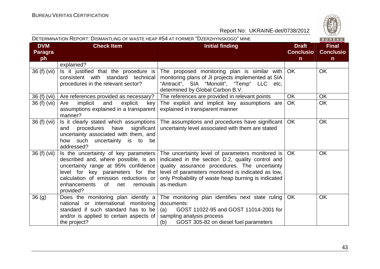

| DETERMINATION REPORT: DISMANTLING OF WASTE HEAP #54 AT FORMER "DZERZHYNSKOGO" MINE<br>BUREAU |                                                                                                                                                                                                                                                        |                                                                                                                                                                                                                                                                                  |                                                  |                                                  |
|----------------------------------------------------------------------------------------------|--------------------------------------------------------------------------------------------------------------------------------------------------------------------------------------------------------------------------------------------------------|----------------------------------------------------------------------------------------------------------------------------------------------------------------------------------------------------------------------------------------------------------------------------------|--------------------------------------------------|--------------------------------------------------|
| <b>DVM</b><br><b>Paragra</b><br>ph                                                           | <b>Check Item</b>                                                                                                                                                                                                                                      | <b>Initial finding</b>                                                                                                                                                                                                                                                           | <b>Draft</b><br><b>Conclusio</b><br>$\mathsf{n}$ | <b>Final</b><br><b>Conclusio</b><br>$\mathsf{n}$ |
|                                                                                              | explained?                                                                                                                                                                                                                                             |                                                                                                                                                                                                                                                                                  |                                                  |                                                  |
| 36 (f) (vii)                                                                                 | Is it justified that the procedure is<br>consistent with standard technical<br>procedures in the relevant sector?                                                                                                                                      | The proposed monitoring plan is similar with<br>monitoring plans of JI projects implemented at SIA<br>"Antracit", SIA "Monolit", "Temp" LLC etc,<br>determined by Global Carbon B.V.                                                                                             | OK.                                              | <b>OK</b>                                        |
| 36 (f) (vii)                                                                                 | Are references provided as necessary?                                                                                                                                                                                                                  | The references are provided in relevant points                                                                                                                                                                                                                                   | <b>OK</b>                                        | <b>OK</b>                                        |
| 36 (f) (vii)                                                                                 | implicit<br>Are<br>and<br>explicit<br>key<br>assumptions explained in a transparent<br>manner?                                                                                                                                                         | The explicit and implicit key assumptions are<br>explained in transparent manner                                                                                                                                                                                                 | <b>OK</b>                                        | <b>OK</b>                                        |
| 36 (f) (vii)                                                                                 | Is it clearly stated which assumptions<br>procedures<br>have<br>significant<br>and<br>uncertainty associated with them, and<br>how such uncertainty is to<br>be<br>addressed?                                                                          | The assumptions and procedures have significant<br>uncertainty level associated with them are stated                                                                                                                                                                             | OK.                                              | <b>OK</b>                                        |
| 36 (f) (vii)                                                                                 | Is the uncertainty of key parameters<br>described and, where possible, is an<br>uncertainty range at 95% confidence<br>level for key parameters for the<br>calculation of emission reductions or<br>enhancements<br>of<br>net<br>removals<br>provided? | The uncertainty level of parameters monitored is<br>indicated in the section D.2, quality control and<br>quality assurance procedures. The uncertainty<br>level of parameters monitored is indicated as low,<br>only Probability of waste heap burning is indicated<br>as medium | <b>OK</b>                                        | <b>OK</b>                                        |
| 36(9)                                                                                        | Does the monitoring plan identify a<br>national or international monitoring<br>standard if such standard has to be<br>and/or is applied to certain aspects of<br>the project?                                                                          | The monitoring plan identifies next state ruling<br>documents:<br>GOST 11022-95 and GOST 11014-2001 for<br>(a)<br>sampling analysis process<br>GOST 305-82 on diesel fuel parameters<br>(b)                                                                                      | OK.                                              | <b>OK</b>                                        |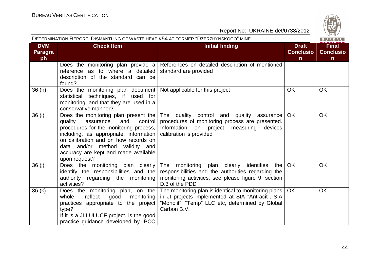

| DETERMINATION REPORT: DISMANTLING OF WASTE HEAP #54 AT FORMER "DZERZHYNSKOGO" MINE |                                                                                                                                                                                                                                                                                                                  |                                                                                                                                                                                                                      | BUREAU                                           |                                                 |
|------------------------------------------------------------------------------------|------------------------------------------------------------------------------------------------------------------------------------------------------------------------------------------------------------------------------------------------------------------------------------------------------------------|----------------------------------------------------------------------------------------------------------------------------------------------------------------------------------------------------------------------|--------------------------------------------------|-------------------------------------------------|
| <b>DVM</b><br><b>Paragra</b><br>ph                                                 | <b>Check Item</b>                                                                                                                                                                                                                                                                                                | <b>Initial finding</b>                                                                                                                                                                                               | <b>Draft</b><br><b>Conclusio</b><br>$\mathsf{n}$ | <b>Final</b><br><b>Conclusio</b><br>$\mathbf n$ |
|                                                                                    | reference as to where a detailed standard are provided<br>description of the standard can be<br>found?                                                                                                                                                                                                           | Does the monitoring plan provide $a \mid$ References on detailed description of mentioned                                                                                                                            |                                                  |                                                 |
| 36(h)                                                                              | Does the monitoring plan document   Not applicable for this project<br>statistical techniques, if used for<br>monitoring, and that they are used in a<br>conservative manner?                                                                                                                                    |                                                                                                                                                                                                                      | <b>OK</b>                                        | <b>OK</b>                                       |
| 36 (i)                                                                             | Does the monitoring plan present the<br>control<br>assurance<br>and<br>quality<br>procedures for the monitoring process,  <br>including, as appropriate, information $\vert$<br>on calibration and on how records on<br>data and/or method validity and<br>accuracy are kept and made available<br>upon request? | The quality control and quality<br>assurance<br>procedures of monitoring process are presented.<br>Information on project<br>measuring<br>devices<br>calibration is provided                                         | <b>OK</b>                                        | <b>OK</b>                                       |
| 36 (j)                                                                             | Does the monitoring plan clearly<br>authority regarding the monitoring<br>activities?                                                                                                                                                                                                                            | The monitoring plan clearly identifies<br>the I<br>identify the responsibilities and the responsibilities and the authorities regarding the<br>monitoring activities, see please figure 9, section<br>D.3 of the PDD | OK                                               | <b>OK</b>                                       |
| 36(k)                                                                              | Does the monitoring plan, on the<br>good<br>reflect<br>monitoring<br>whole,<br>practices appropriate to the project<br>type?<br>If it is a JI LULUCF project, is the good<br>practice guidance developed by IPCC                                                                                                 | The monitoring plan is identical to monitoring plans  <br>in JI projects implemented at SIA "Antracit", SIA<br>"Monolit", "Temp" LLC etc, determined by Global<br>Carbon B.V.                                        | OK                                               | <b>OK</b>                                       |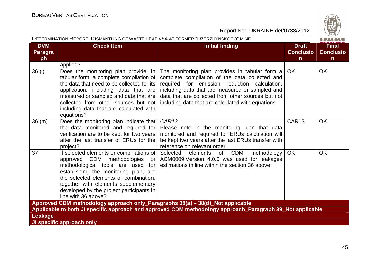

| DETERMINATION REPORT: DISMANTLING OF WASTE HEAP #54 AT FORMER "DZERZHYNSKOGO" MINE<br>BUREAU              |                                                                                                                                                                                                                                                                                                                  |                                                                                                                                                                                                                                                                                                                |                                                  |                                                  |  |
|-----------------------------------------------------------------------------------------------------------|------------------------------------------------------------------------------------------------------------------------------------------------------------------------------------------------------------------------------------------------------------------------------------------------------------------|----------------------------------------------------------------------------------------------------------------------------------------------------------------------------------------------------------------------------------------------------------------------------------------------------------------|--------------------------------------------------|--------------------------------------------------|--|
| <b>DVM</b><br><b>Paragra</b><br>ph                                                                        | <b>Check Item</b>                                                                                                                                                                                                                                                                                                | <b>Initial finding</b>                                                                                                                                                                                                                                                                                         | <b>Draft</b><br><b>Conclusio</b><br>$\mathsf{n}$ | <b>Final</b><br><b>Conclusio</b><br>$\mathsf{n}$ |  |
|                                                                                                           | applied?                                                                                                                                                                                                                                                                                                         |                                                                                                                                                                                                                                                                                                                |                                                  |                                                  |  |
| $36$ (l)                                                                                                  | Does the monitoring plan provide, in<br>tabular form, a complete compilation of<br>the data that need to be collected for its<br>application, including data that are<br>measured or sampled and data that are<br>collected from other sources but not<br>including data that are calculated with<br>equations?  | The monitoring plan provides in tabular form a<br>complete compilation of the data collected and<br>required for emission reduction calculation,<br>including data that are measured or sampled and<br>data that are collected from other sources but not<br>including data that are calculated with equations | <b>OK</b>                                        | <b>OK</b>                                        |  |
| 36(m)                                                                                                     | Does the monitoring plan indicate that<br>the data monitored and required for<br>verification are to be kept for two years<br>after the last transfer of ERUs for the<br>project?                                                                                                                                | <b>CAR13</b><br>Please note in the monitoring plan that data<br>monitored and required for ERUs calculation will<br>be kept two years after the last ERUs transfer with<br>reference on relevant order                                                                                                         | CAR <sub>13</sub>                                | <b>OK</b>                                        |  |
| 37                                                                                                        | If selected elements or combinations of<br>approved CDM methodologies<br>or<br>methodological tools are used<br>for<br>establishing the monitoring plan, are<br>the selected elements or combination.<br>together with elements supplementary<br>developed by the project participants in<br>line with 36 above? | Selected elements<br>of<br>CDM<br>methodology<br>ACM0009, Version 4.0.0 was used for leakages<br>estimations in line within the section 36 above                                                                                                                                                               | <b>OK</b>                                        | <b>OK</b>                                        |  |
| Approved CDM methodology approach only_Paragraphs 38(a) - 38(d)_Not applicable                            |                                                                                                                                                                                                                                                                                                                  |                                                                                                                                                                                                                                                                                                                |                                                  |                                                  |  |
| Applicable to both JI specific approach and approved CDM methodology approach_Paragraph 39_Not applicable |                                                                                                                                                                                                                                                                                                                  |                                                                                                                                                                                                                                                                                                                |                                                  |                                                  |  |
| Leakage                                                                                                   |                                                                                                                                                                                                                                                                                                                  |                                                                                                                                                                                                                                                                                                                |                                                  |                                                  |  |
|                                                                                                           | JI specific approach only                                                                                                                                                                                                                                                                                        |                                                                                                                                                                                                                                                                                                                |                                                  |                                                  |  |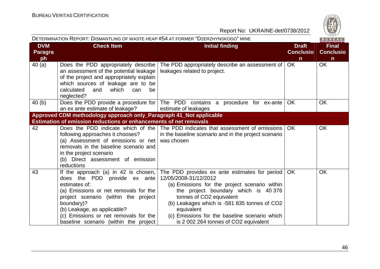

|                                    | DETERMINATION REPORT: DISMANTLING OF WASTE HEAP #54 AT FORMER "DZERZHYNSKOGO" MINE                                                                                                                                                                                                                    |                                                                                                                                                                                                                                                                                                                                                     | BUREAU                                           |                                                  |
|------------------------------------|-------------------------------------------------------------------------------------------------------------------------------------------------------------------------------------------------------------------------------------------------------------------------------------------------------|-----------------------------------------------------------------------------------------------------------------------------------------------------------------------------------------------------------------------------------------------------------------------------------------------------------------------------------------------------|--------------------------------------------------|--------------------------------------------------|
| <b>DVM</b><br><b>Paragra</b><br>ph | <b>Check Item</b>                                                                                                                                                                                                                                                                                     | <b>Initial finding</b>                                                                                                                                                                                                                                                                                                                              | <b>Draft</b><br><b>Conclusio</b><br>$\mathsf{n}$ | <b>Final</b><br><b>Conclusio</b><br>$\mathsf{n}$ |
| 40(a)                              | Does the PDD appropriately describe<br>an assessment of the potential leakage<br>of the project and appropriately explain<br>which sources of leakage are to be<br>calculated<br>which<br>and<br>can<br>be<br>neglected?                                                                              | The PDD appropriately describe an assessment of<br>leakages related to project.                                                                                                                                                                                                                                                                     | <b>OK</b>                                        | <b>OK</b>                                        |
| 40(b)                              | an ex ante estimate of leakage?                                                                                                                                                                                                                                                                       | Does the PDD provide a procedure for $ $ The PDD contains a procedure for ex-ante $ $<br>estimate of leakages                                                                                                                                                                                                                                       | <b>OK</b>                                        | <b>OK</b>                                        |
|                                    | Approved CDM methodology approach only_Paragraph 41_Not applicable                                                                                                                                                                                                                                    |                                                                                                                                                                                                                                                                                                                                                     |                                                  |                                                  |
|                                    | <b>Estimation of emission reductions or enhancements of net removals</b>                                                                                                                                                                                                                              |                                                                                                                                                                                                                                                                                                                                                     |                                                  |                                                  |
| 42                                 | following approaches it chooses?<br>(a) Assessment of emissions or net<br>removals in the baseline scenario and<br>in the project scenario<br>(b) Direct assessment of emission<br>reductions                                                                                                         | Does the PDD indicate which of the $\vert$ The PDD indicates that assessment of emissions<br>in the baseline scenario and in the project scenario<br>was chosen                                                                                                                                                                                     | OK.                                              | <b>OK</b>                                        |
| 43                                 | If the approach (a) in 42 is chosen,<br>does the PDD provide ex ante<br>estimates of:<br>(a) Emissions or net removals for the<br>project scenario (within the project<br>boundary)?<br>(b) Leakage, as applicable?<br>(c) Emissions or net removals for the<br>baseline scenario (within the project | The PDD provides ex ante estimates for period<br>12/05/2008-31/12/2012<br>(a) Emissions for the project scenario within<br>the project boundary which is 40 376<br>tonnes of CO2 equivalent<br>(b) Leakages which is -581 835 tonnes of CO2<br>equivalent<br>(c) Emissions for the baseline scenario which<br>is 2 002 264 tonnes of CO2 equivalent | OK.                                              | <b>OK</b>                                        |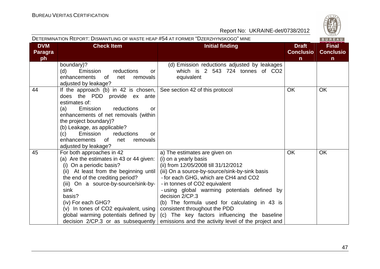**Contract Contract Contract** 

|                                    | DETERMINATION REPORT: DISMANTLING OF WASTE HEAP #54 AT FORMER "DZERZHYNSKOGO" MINE<br>BUREAU                                                                                                                                                                                                                                                                                 |                                                                                                                                                                                                                                                                                                                                                                                                                                                                                                                              |                                                  |                                                  |  |
|------------------------------------|------------------------------------------------------------------------------------------------------------------------------------------------------------------------------------------------------------------------------------------------------------------------------------------------------------------------------------------------------------------------------|------------------------------------------------------------------------------------------------------------------------------------------------------------------------------------------------------------------------------------------------------------------------------------------------------------------------------------------------------------------------------------------------------------------------------------------------------------------------------------------------------------------------------|--------------------------------------------------|--------------------------------------------------|--|
| <b>DVM</b><br><b>Paragra</b><br>ph | <b>Check Item</b>                                                                                                                                                                                                                                                                                                                                                            | <b>Initial finding</b>                                                                                                                                                                                                                                                                                                                                                                                                                                                                                                       | <b>Draft</b><br><b>Conclusio</b><br>$\mathsf{n}$ | <b>Final</b><br><b>Conclusio</b><br>$\mathsf{n}$ |  |
|                                    | boundary)?<br>Emission<br>(d)<br>reductions<br>or<br>enhancements<br>0f<br>removals<br>net<br>adjusted by leakage?                                                                                                                                                                                                                                                           | (d) Emission reductions adjusted by leakages<br>which is 2 543 724 tonnes of CO2<br>equivalent                                                                                                                                                                                                                                                                                                                                                                                                                               |                                                  |                                                  |  |
| 44                                 | If the approach (b) in 42 is chosen, See section 42 of this protocol<br>does the PDD provide ex ante<br>estimates of:<br>reductions<br>Emission<br>(a)<br><b>or</b><br>enhancements of net removals (within<br>the project boundary)?<br>(b) Leakage, as applicable?<br>Emission<br>reductions<br>(c)<br>or<br>enhancements<br>removals<br>0f<br>net<br>adjusted by leakage? |                                                                                                                                                                                                                                                                                                                                                                                                                                                                                                                              | <b>OK</b>                                        | <b>OK</b>                                        |  |
| 45                                 | For both approaches in 42<br>(a) Are the estimates in 43 or 44 given:<br>(i) On a periodic basis?<br>(ii) At least from the beginning until<br>the end of the crediting period?<br>(iii) On a source-by-source/sink-by-<br>sink<br>basis?<br>(iv) For each GHG?<br>(v) In tones of CO2 equivalent, using $ $<br>global warming potentials defined by                         | a) The estimates are given on<br>(i) on a yearly basis<br>(ii) from 12/05/2008 till 31/12/2012<br>(iii) On a source-by-source/sink-by-sink basis<br>- for each GHG, which are CH4 and CO2<br>- in tonnes of CO2 equivalent<br>- using global warming potentials defined by<br>decision 2/CP.3<br>(b) The formula used for calculating in 43 is<br>consistent throughout the PDD<br>(c) The key factors influencing the baseline<br>decision $2$ /CP.3 or as subsequently emissions and the activity level of the project and | <b>OK</b>                                        | <b>OK</b>                                        |  |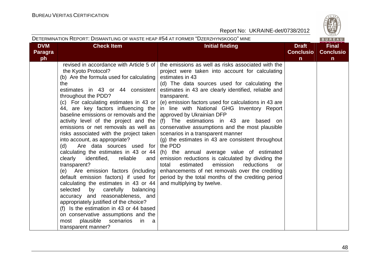

|                                    | DETERMINATION REPORT: DISMANTLING OF WASTE HEAP #54 AT FORMER "DZERZHYNSKOGO" MINE<br>BUREAU                                                                                                                                                                                                                                                                                                                                                                                                                                                                                                                                                                                                                                                                                                                                                                                                                                                                                              |                                                                                                                                                                                                                                                                                                                                                                                                                                                                                                                                                                                                                                                                                                                                                                                                                                                                                                                                |                                                  |                                                  |  |  |
|------------------------------------|-------------------------------------------------------------------------------------------------------------------------------------------------------------------------------------------------------------------------------------------------------------------------------------------------------------------------------------------------------------------------------------------------------------------------------------------------------------------------------------------------------------------------------------------------------------------------------------------------------------------------------------------------------------------------------------------------------------------------------------------------------------------------------------------------------------------------------------------------------------------------------------------------------------------------------------------------------------------------------------------|--------------------------------------------------------------------------------------------------------------------------------------------------------------------------------------------------------------------------------------------------------------------------------------------------------------------------------------------------------------------------------------------------------------------------------------------------------------------------------------------------------------------------------------------------------------------------------------------------------------------------------------------------------------------------------------------------------------------------------------------------------------------------------------------------------------------------------------------------------------------------------------------------------------------------------|--------------------------------------------------|--------------------------------------------------|--|--|
| <b>DVM</b><br><b>Paragra</b><br>ph | <b>Check Item</b>                                                                                                                                                                                                                                                                                                                                                                                                                                                                                                                                                                                                                                                                                                                                                                                                                                                                                                                                                                         | <b>Initial finding</b>                                                                                                                                                                                                                                                                                                                                                                                                                                                                                                                                                                                                                                                                                                                                                                                                                                                                                                         | <b>Draft</b><br><b>Conclusio</b><br>$\mathsf{n}$ | <b>Final</b><br><b>Conclusio</b><br>$\mathsf{n}$ |  |  |
|                                    | revised in accordance with Article 5 of<br>the Kyoto Protocol?<br>(b) Are the formula used for calculating  <br>the<br>estimates in 43 or 44 consistent<br>throughout the PDD?<br>(c) For calculating estimates in 43 or $\vert$<br>44, are key factors influencing the<br>baseline emissions or removals and the<br>emissions or net removals as well as<br>risks associated with the project taken<br>into account, as appropriate?<br>(d)<br>Are data sources used for<br>calculating the estimates in 43 or 44<br>clearly<br>reliable<br>identified,<br>and<br>transparent?<br>(e) Are emission factors (including<br>default emission factors) if used for<br>calculating the estimates in 43 or 44<br>selected<br>carefully<br>balancing<br>by<br>accuracy and reasonableness, and<br>appropriately justified of the choice?<br>(f) Is the estimation in 43 or 44 based<br>on conservative assumptions and the<br>plausible<br>scenarios<br>most<br>in.<br>a<br>transparent manner? | the emissions as well as risks associated with the<br>project were taken into account for calculating<br>estimates in 43<br>(d) The data sources used for calculating the<br>estimates in 43 are clearly identified, reliable and<br>transparent.<br>(e) emission factors used for calculations in 43 are<br>in line with National GHG Inventory Report<br>approved by Ukrainian DFP<br>activity level of the project and the $(f)$ The estimations in 43 are based on<br>conservative assumptions and the most plausible<br>scenarios in a transparent manner<br>(g) the estimates in 43 are consistent throughout<br>the PDD<br>(h) the annual average value of estimated<br>emission reductions is calculated by dividing the<br>estimated<br>emission<br>reductions<br>total<br>or.<br>enhancements of net removals over the crediting<br>period by the total months of the crediting period<br>and multiplying by twelve. |                                                  |                                                  |  |  |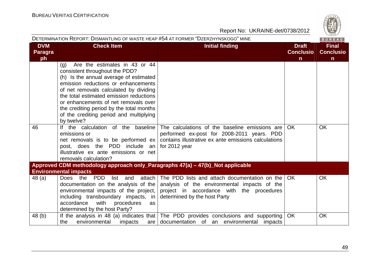| S<br>6 |
|--------|
| 828    |

|                                    | DETERMINATION REPORT: DISMANTLING OF WASTE HEAP #54 AT FORMER "DZERZHYNSKOGO" MINE<br>BUREAU                                                                                                                                                                                                                                                                                                                                    |                                                                                                                                                                                 |                                                  |                                                  |  |  |
|------------------------------------|---------------------------------------------------------------------------------------------------------------------------------------------------------------------------------------------------------------------------------------------------------------------------------------------------------------------------------------------------------------------------------------------------------------------------------|---------------------------------------------------------------------------------------------------------------------------------------------------------------------------------|--------------------------------------------------|--------------------------------------------------|--|--|
| <b>DVM</b><br><b>Paragra</b><br>ph | <b>Check Item</b>                                                                                                                                                                                                                                                                                                                                                                                                               | <b>Initial finding</b>                                                                                                                                                          | <b>Draft</b><br><b>Conclusio</b><br>$\mathsf{n}$ | <b>Final</b><br><b>Conclusio</b><br>$\mathsf{n}$ |  |  |
| 46                                 | Are the estimates in 43 or 44<br>(g)<br>consistent throughout the PDD?<br>(h) Is the annual average of estimated<br>emission reductions or enhancements<br>of net removals calculated by dividing<br>the total estimated emission reductions<br>or enhancements of net removals over<br>the crediting period by the total months<br>of the crediting period and multiplying<br>by twelve?<br>If the calculation of the baseline | The calculations of the baseline emissions are                                                                                                                                  | <b>OK</b>                                        | <b>OK</b>                                        |  |  |
|                                    | emissions or<br>net removals is to be performed $ex$<br>post, does the PDD include an<br>illustrative ex ante emissions or net<br>removals calculation?                                                                                                                                                                                                                                                                         | performed ex-post for 2008-2011 years. PDD<br>contains illustrative ex ante emissions calculations<br>for 2012 year                                                             |                                                  |                                                  |  |  |
|                                    | Approved CDM methodology approach only_Paragraphs 47(a) – 47(b)_Not applicable                                                                                                                                                                                                                                                                                                                                                  |                                                                                                                                                                                 |                                                  |                                                  |  |  |
|                                    | <b>Environmental impacts</b>                                                                                                                                                                                                                                                                                                                                                                                                    |                                                                                                                                                                                 |                                                  |                                                  |  |  |
| 48(a)                              | Does<br>the<br><b>PDD</b><br>list<br>attach<br>and<br>environmental impacts of the project,<br>including transboundary impacts, in determined by the host Party<br>with<br>procedures<br>accordance<br>as<br>determined by the host Party?                                                                                                                                                                                      | The PDD lists and attach documentation on the<br>documentation on the analysis of the analysis of the environmental impacts of the<br>project in accordance with the procedures | <b>OK</b>                                        | <b>OK</b>                                        |  |  |
| 48(b)                              | environmental<br>impacts<br>the<br>are I                                                                                                                                                                                                                                                                                                                                                                                        | If the analysis in 48 (a) indicates that The PDD provides conclusions and supporting<br>documentation of an environmental impacts                                               | <b>OK</b>                                        | <b>OK</b>                                        |  |  |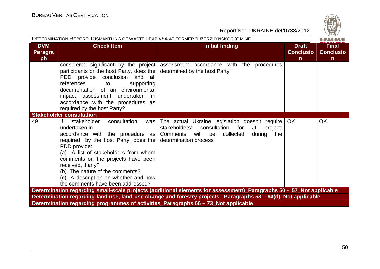| S   |
|-----|
|     |
|     |
| 828 |
| ۵   |

| Report No: UKRAINE-det/0738/2012                                                   |                                                                                                                                                                                                                                                                                                                                                                                      |                                                                                                                                                                               |                                                  |                                                  |  |  |  |
|------------------------------------------------------------------------------------|--------------------------------------------------------------------------------------------------------------------------------------------------------------------------------------------------------------------------------------------------------------------------------------------------------------------------------------------------------------------------------------|-------------------------------------------------------------------------------------------------------------------------------------------------------------------------------|--------------------------------------------------|--------------------------------------------------|--|--|--|
| DETERMINATION REPORT: DISMANTLING OF WASTE HEAP #54 AT FORMER "DZERZHYNSKOGO" MINE |                                                                                                                                                                                                                                                                                                                                                                                      |                                                                                                                                                                               |                                                  |                                                  |  |  |  |
| <b>DVM</b><br><b>Paragra</b><br>ph                                                 | <b>Check Item</b>                                                                                                                                                                                                                                                                                                                                                                    | <b>Initial finding</b>                                                                                                                                                        | <b>Draft</b><br><b>Conclusio</b><br>$\mathsf{n}$ | <b>Final</b><br><b>Conclusio</b><br>$\mathsf{n}$ |  |  |  |
|                                                                                    | considered significant by the project<br>participants or the host Party, does the<br>PDD provide conclusion and all<br>references<br>to<br>supporting<br>documentation of an environmental<br>impact assessment undertaken<br>- in<br>accordance with the procedures as<br>required by the host Party?                                                                               | assessment accordance with the procedures<br>determined by the host Party                                                                                                     |                                                  |                                                  |  |  |  |
|                                                                                    | <b>Stakeholder consultation</b>                                                                                                                                                                                                                                                                                                                                                      |                                                                                                                                                                               |                                                  |                                                  |  |  |  |
| 49                                                                                 | lf.<br>stakeholder<br>consultation<br>was<br>undertaken in<br>accordance with the procedure as   Comments<br>required by the host Party, does the<br>PDD provide:<br>(a) A list of stakeholders from whom<br>comments on the projects have been<br>received, if any?<br>(b) The nature of the comments?<br>(c) A description on whether and how<br>the comments have been addressed? | The actual Ukraine legislation doesn't require<br>stakeholders'<br>consultation<br>for<br>JI<br>project.<br>will<br>collected<br>be<br>during<br>the<br>determination process | <b>OK</b>                                        | OK                                               |  |  |  |
|                                                                                    |                                                                                                                                                                                                                                                                                                                                                                                      | Determination regarding small-scale projects (additional elements for assessment)_Paragraphs 50 - 57_Not applicable                                                           |                                                  |                                                  |  |  |  |
|                                                                                    |                                                                                                                                                                                                                                                                                                                                                                                      | Determination regarding land use, land-use change and forestry projects _Paragraphs 58 - 64(d)_Not applicable                                                                 |                                                  |                                                  |  |  |  |
|                                                                                    | Determination regarding programmes of activities_Paragraphs 66 - 73_Not applicable                                                                                                                                                                                                                                                                                                   |                                                                                                                                                                               |                                                  |                                                  |  |  |  |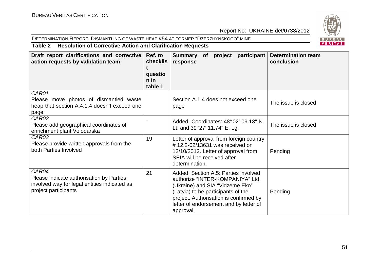#### DETERMINATION REPORT: DISMANTLING OF WASTE HEAP #54 AT FORMER "DZERZHYNSKOGO" MINE



## **Table 2 Resolution of Corrective Action and Clarification Requests**

| Draft report clarifications and corrective<br>action requests by validation team                                          | Ref. to<br>checklis<br>questio<br>n in<br>table 1 | Summary of project participant<br>response                                                                                                                                                                                                         | <b>Determination team</b><br>conclusion |
|---------------------------------------------------------------------------------------------------------------------------|---------------------------------------------------|----------------------------------------------------------------------------------------------------------------------------------------------------------------------------------------------------------------------------------------------------|-----------------------------------------|
| CAR01<br>Please move photos of dismantled waste<br>heap that section A.4.1.4 doesn't exceed one<br>page                   |                                                   | Section A.1.4 does not exceed one<br>page                                                                                                                                                                                                          | The issue is closed                     |
| <b>CAR02</b><br>Please add geographical coordinates of<br>enrichment plant Volodarska                                     |                                                   | Added: Coordinates: 48°02′ 09.13″ N.<br>Lt. and 39°27' 11.74" E. Lg.                                                                                                                                                                               | The issue is closed                     |
| CAR03<br>Please provide written approvals from the<br>both Parties Involved                                               | 19                                                | Letter of approval from foreign country<br>#12.2-02/13631 was received on<br>12/10/2012. Letter of approval from<br>SEIA will be received after<br>determination.                                                                                  | Pending                                 |
| CAR04<br>Please indicate authorisation by Parties<br>involved way for legal entities indicated as<br>project participants | 21                                                | Added, Section A.5: Parties involved<br>authorize "INTER-KOMPANIYA" Ltd.<br>(Ukraine) and SIA "Vidzeme Eko"<br>(Latvia) to be participants of the<br>project. Authorisation is confirmed by<br>letter of endorsement and by letter of<br>approval. | Pending                                 |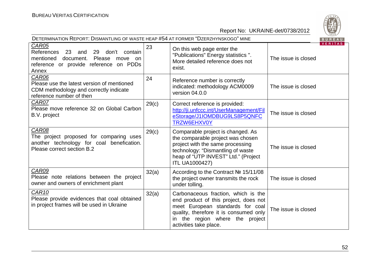

| DETERMINATION REPORT: DISMANTLING OF WASTE HEAP #54 AT FORMER "DZERZHYNSKOGO" MINE<br>BUREAU                                                                  |       |                                                                                                                                                                                                                         |                     |         |  |
|---------------------------------------------------------------------------------------------------------------------------------------------------------------|-------|-------------------------------------------------------------------------------------------------------------------------------------------------------------------------------------------------------------------------|---------------------|---------|--|
| <b>CAR05</b><br>References<br>29<br>23<br>and<br>don't<br>contain<br>mentioned document. Please<br>move on<br>reference or provide reference on PDDs<br>Annex | 23    | On this web page enter the<br>"Publications" Energy statistics ".<br>More detailed reference does not<br>exist.                                                                                                         | The issue is closed | VERITAS |  |
| <b>CAR06</b><br>Please use the latest version of mentioned<br>CDM methodology and correctly indicate<br>reference number of then                              | 24    | Reference number is correctly<br>indicated: methodology ACM0009<br>version 04.0.0                                                                                                                                       | The issue is closed |         |  |
| CAR07<br>Please move reference 32 on Global Carbon<br>B.V. project                                                                                            | 29(c) | Correct reference is provided:<br>http://ji.unfccc.int/UserManagement/Fil<br>eStorage/J1IOMDBUG9LS8P5QNFC<br>TRZW6EHXV0Y                                                                                                | The issue is closed |         |  |
| CAR08<br>The project proposed for comparing uses<br>another technology for coal benefication.<br>Please correct section B.2                                   | 29(c) | Comparable project is changed. As<br>the comparable project was chosen<br>project with the same processing<br>technology: "Dismantling of waste<br>heap of "UTP INVEST" Ltd." (Project<br><b>ITL UA1000427)</b>         | The issue is closed |         |  |
| CAR09<br>Please note relations between the project<br>owner and owners of enrichment plant                                                                    | 32(a) | According to the Contract № 15/11/08<br>the project owner transmits the rock<br>under tolling.                                                                                                                          | The issue is closed |         |  |
| CAR <sub>10</sub><br>Please provide evidences that coal obtained<br>in project frames will be used in Ukraine                                                 | 32(a) | Carbonaceous fraction, which is the<br>end product of this project, does not<br>meet European standards for coal<br>quality, therefore it is consumed only<br>in the region where the project<br>activities take place. | The issue is closed |         |  |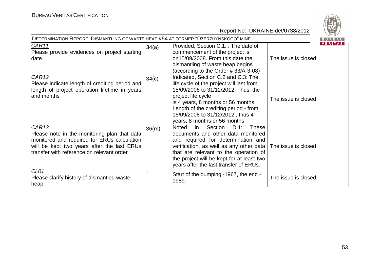

| DETERMINATION REPORT: DISMANTLING OF WASTE HEAP #54 AT FORMER "DZERZHYNSKOGO" MINE                                                                                                                          |       |                                                                                                                                                                                                                                                                                                                  |                     | ご。~<br><b>BUREAU</b> |
|-------------------------------------------------------------------------------------------------------------------------------------------------------------------------------------------------------------|-------|------------------------------------------------------------------------------------------------------------------------------------------------------------------------------------------------------------------------------------------------------------------------------------------------------------------|---------------------|----------------------|
| CAR11<br>Please provide evidences on project starting<br>date                                                                                                                                               | 34(a) | Provided, Section C.1.: The date of<br>commencement of the project is<br>on15/09/2008. From this date the<br>dismantling of waste heap begins<br>(according to the Order #33/A-3-08)                                                                                                                             | The issue is closed | VERITAS              |
| CAR <sub>12</sub><br>Please indicate length of crediting period and<br>length of project operation lifetime in years<br>and months                                                                          | 34(c) | Indicated, Section C.2 and C.3: The<br>life cycle of the project will last from<br>15/09/2008 to 31/12/2012. Thus, the<br>project life cycle<br>is 4 years, 8 months or 56 months.<br>Length of the crediting period - from<br>15/09/2008 to 31/12/2012., thus 4<br>years, 8 months or 56 months                 | The issue is closed |                      |
| CAR <sub>13</sub><br>Please note in the monitoring plan that data<br>monitored and required for ERUs calculation<br>will be kept two years after the last ERUs<br>transfer with reference on relevant order | 36(m) | <b>These</b><br><b>Noted</b><br>Section<br>$D.1$ :<br>in.<br>documents and other data monitored<br>and required for determination and<br>verification, as well as any other data<br>that are relevant to the operation of<br>the project will be kept for at least two<br>years after the last transfer of ERUs. | The issue is closed |                      |
| CL <sub>01</sub><br>Please clarify history of dismantled waste<br>heap                                                                                                                                      |       | Start of the dumping -1967, the end -<br>1989.                                                                                                                                                                                                                                                                   | The issue is closed |                      |